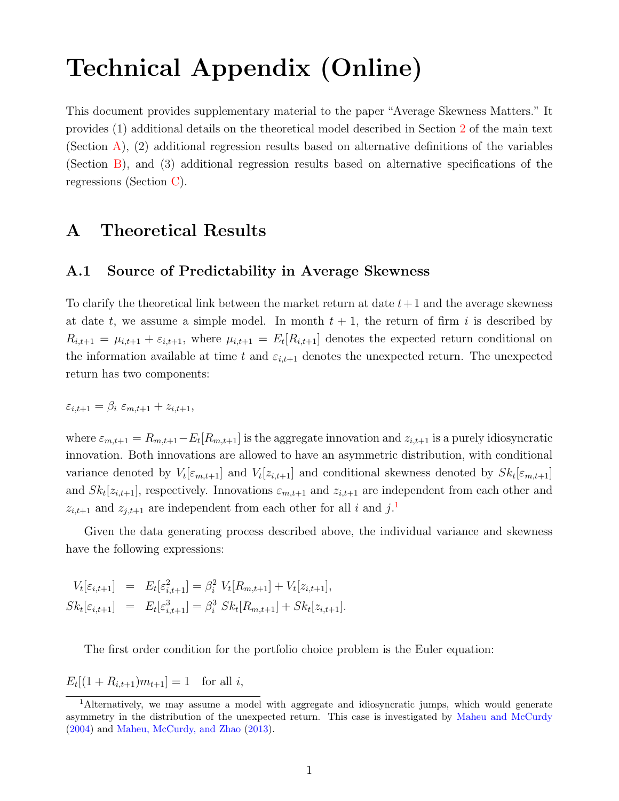# <span id="page-0-2"></span>Technical Appendix (Online)

This document provides supplementary material to the paper "Average Skewness Matters." It provides (1) additional details on the theoretical model described in Section 2 of the main text (Section [A\)](#page-0-0), (2) additional regression results based on alternative definitions of the variables (Section [B\)](#page-4-0), and (3) additional regression results based on alternative specifications of the regressions (Section [C\)](#page-10-0).

# <span id="page-0-0"></span>A Theoretical Results

## A.1 Source of Predictability in Average Skewness

To clarify the theoretical link between the market return at date  $t+1$  and the average skewness at date t, we assume a simple model. In month  $t + 1$ , the return of firm i is described by  $R_{i,t+1} = \mu_{i,t+1} + \varepsilon_{i,t+1}$ , where  $\mu_{i,t+1} = E_t[R_{i,t+1}]$  denotes the expected return conditional on the information available at time t and  $\varepsilon_{i,t+1}$  denotes the unexpected return. The unexpected return has two components:

$$
\varepsilon_{i,t+1} = \beta_i \varepsilon_{m,t+1} + z_{i,t+1},
$$

where  $\varepsilon_{m,t+1} = R_{m,t+1} - E_t[R_{m,t+1}]$  is the aggregate innovation and  $z_{i,t+1}$  is a purely idiosyncratic innovation. Both innovations are allowed to have an asymmetric distribution, with conditional variance denoted by  $V_t[\varepsilon_{m,t+1}]$  and  $V_t[z_{i,t+1}]$  and conditional skewness denoted by  $Sk_t[\varepsilon_{m,t+1}]$ and  $Sk_t[z_{i,t+1}]$ , respectively. Innovations  $\varepsilon_{m,t+1}$  and  $z_{i,t+1}$  are independent from each other and  $z_{i,t+1}$  $z_{i,t+1}$  $z_{i,t+1}$  and  $z_{j,t+1}$  are independent from each other for all i and j.<sup>1</sup>

Given the data generating process described above, the individual variance and skewness have the following expressions:

$$
V_t[\varepsilon_{i,t+1}] = E_t[\varepsilon_{i,t+1}^2] = \beta_i^2 V_t[R_{m,t+1}] + V_t[z_{i,t+1}],
$$
  
\n
$$
Sk_t[\varepsilon_{i,t+1}] = E_t[\varepsilon_{i,t+1}^3] = \beta_i^3 Sk_t[R_{m,t+1}] + Sk_t[z_{i,t+1}].
$$

The first order condition for the portfolio choice problem is the Euler equation:

 $E_t[(1 + R_{i,t+1})m_{t+1}] = 1$  for all i,

<span id="page-0-1"></span><sup>&</sup>lt;sup>1</sup>Alternatively, we may assume a model with aggregate and idiosyncratic jumps, which would generate asymmetry in the distribution of the unexpected return. This case is investigated by [Maheu and McCurdy](#page-16-0) [\(2004\)](#page-16-0) and [Maheu, McCurdy, and Zhao](#page-16-1) [\(2013\)](#page-16-1).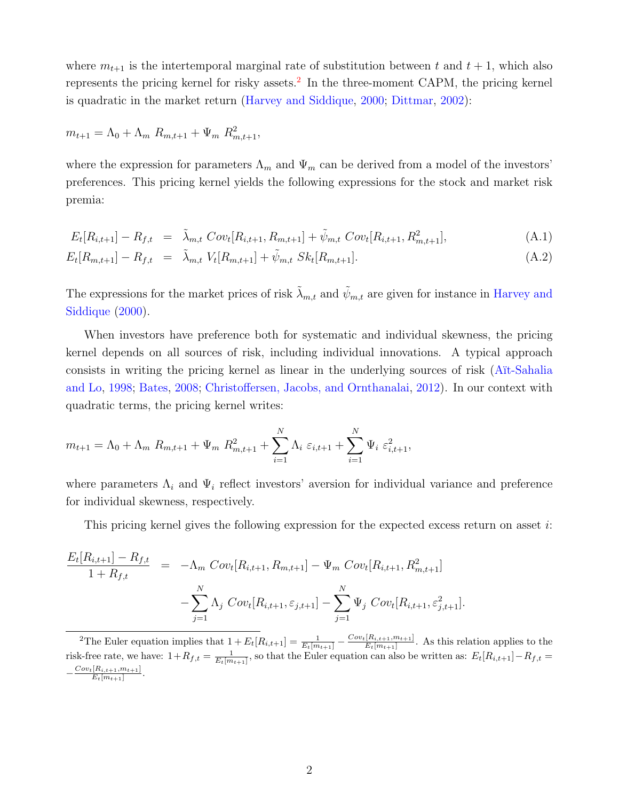where  $m_{t+1}$  is the intertemporal marginal rate of substitution between t and  $t + 1$ , which also represents the pricing kernel for risky assets.<sup>[2](#page-1-0)</sup> In the three-moment CAPM, the pricing kernel is quadratic in the market return [\(Harvey and Siddique,](#page-16-2) [2000;](#page-16-2) [Dittmar,](#page-15-0) [2002\)](#page-15-0):

$$
m_{t+1} = \Lambda_0 + \Lambda_m R_{m,t+1} + \Psi_m R_{m,t+1}^2,
$$

where the expression for parameters  $\Lambda_m$  and  $\Psi_m$  can be derived from a model of the investors' preferences. This pricing kernel yields the following expressions for the stock and market risk premia:

<span id="page-1-1"></span>
$$
E_t[R_{i,t+1}] - R_{f,t} = \tilde{\lambda}_{m,t} Cov_t[R_{i,t+1}, R_{m,t+1}] + \tilde{\psi}_{m,t} Cov_t[R_{i,t+1}, R_{m,t+1}^2],
$$
\n(A.1)

$$
E_t[R_{m,t+1}] - R_{f,t} = \tilde{\lambda}_{m,t} V_t[R_{m,t+1}] + \tilde{\psi}_{m,t} Sk_t[R_{m,t+1}]. \tag{A.2}
$$

The expressions for the market prices of risk  $\lambda_{m,t}$  and  $\psi_{m,t}$  are given for instance in [Harvey and](#page-16-2) [Siddique](#page-16-2) [\(2000\)](#page-16-2).

When investors have preference both for systematic and individual skewness, the pricing kernel depends on all sources of risk, including individual innovations. A typical approach consists in writing the pricing kernel as linear in the underlying sources of risk [\(A¨ıt-Sahalia](#page-15-1) [and Lo,](#page-15-1) [1998;](#page-15-1) [Bates,](#page-15-2) [2008;](#page-15-2) [Christoffersen, Jacobs, and Ornthanalai,](#page-15-3) [2012\)](#page-15-3). In our context with quadratic terms, the pricing kernel writes:

$$
m_{t+1} = \Lambda_0 + \Lambda_m R_{m,t+1} + \Psi_m R_{m,t+1}^2 + \sum_{i=1}^N \Lambda_i \varepsilon_{i,t+1} + \sum_{i=1}^N \Psi_i \varepsilon_{i,t+1}^2,
$$

where parameters  $\Lambda_i$  and  $\Psi_i$  reflect investors' aversion for individual variance and preference for individual skewness, respectively.

This pricing kernel gives the following expression for the expected excess return on asset  $i$ :

$$
\frac{E_t[R_{i,t+1}] - R_{f,t}}{1 + R_{f,t}} = -\Lambda_m Cov_t[R_{i,t+1}, R_{m,t+1}] - \Psi_m Cov_t[R_{i,t+1}, R_{m,t+1}^2] - \sum_{j=1}^N \Lambda_j Cov_t[R_{i,t+1}, \varepsilon_{j,t+1}] - \sum_{j=1}^N \Psi_j Cov_t[R_{i,t+1}, \varepsilon_{j,t+1}^2].
$$

<span id="page-1-0"></span><sup>2</sup>The Euler equation implies that  $1 + E_t[R_{i,t+1}] = \frac{1}{E_t[m_{t+1}]} - \frac{Cov_t[R_{i,t+1}, m_{t+1}]}{E_t[m_{t+1}]}$  $\frac{[R_{i,t+1},m_{t+1}]}{E_t[m_{t+1}]}$ . As this relation applies to the risk-free rate, we have:  $1+R_{f,t} = \frac{1}{E_t[m_{t+1}]}$ , so that the Euler equation can also be written as:  $E_t[R_{i,t+1}] - R_{f,t} =$  $-\frac{Cov_t[R_{i,t+1},m_{t+1}]}{E_{i,m_{t+1}}|}$  $\frac{E_t[n_{t,t+1},m_{t+1}]}{E_t[m_{t+1}]}$ .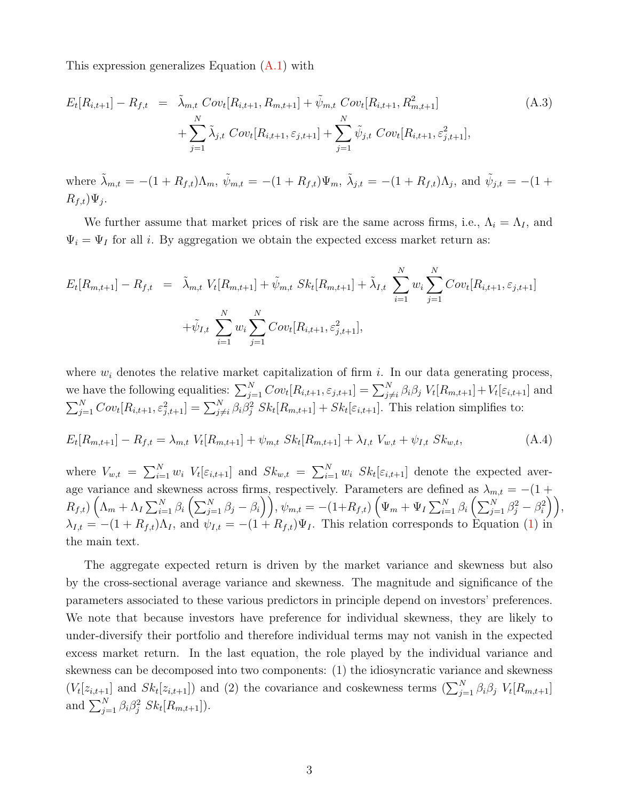This expression generalizes Equation [\(A.1\)](#page-1-1) with

$$
E_t[R_{i,t+1}] - R_{f,t} = \tilde{\lambda}_{m,t} Cov_t[R_{i,t+1}, R_{m,t+1}] + \tilde{\psi}_{m,t} Cov_t[R_{i,t+1}, R_{m,t+1}^2] + \sum_{j=1}^N \tilde{\lambda}_{j,t} Cov_t[R_{i,t+1}, \varepsilon_{j,t+1}] + \sum_{j=1}^N \tilde{\psi}_{j,t} Cov_t[R_{i,t+1}, \varepsilon_{j,t+1}^2],
$$
\n(A.3)

where  $\tilde{\lambda}_{m,t} = -(1 + R_{f,t})\Lambda_m$ ,  $\tilde{\psi}_{m,t} = -(1 + R_{f,t})\Psi_m$ ,  $\tilde{\lambda}_{j,t} = -(1 + R_{f,t})\Lambda_j$ , and  $\tilde{\psi}_{j,t} = -(1 + R_{f,t})\Lambda_m$  $R_{f,t}$ ) $\Psi_j$ .

We further assume that market prices of risk are the same across firms, i.e.,  $\Lambda_i = \Lambda_I$ , and  $\Psi_i = \Psi_I$  for all *i*. By aggregation we obtain the expected excess market return as:

$$
E_t[R_{m,t+1}] - R_{f,t} = \tilde{\lambda}_{m,t} V_t[R_{m,t+1}] + \tilde{\psi}_{m,t} Sk_t[R_{m,t+1}] + \tilde{\lambda}_{I,t} \sum_{i=1}^N w_i \sum_{j=1}^N Cov_t[R_{i,t+1}, \varepsilon_{j,t+1}] + \tilde{\psi}_{I,t} \sum_{i=1}^N w_i \sum_{j=1}^N Cov_t[R_{i,t+1}, \varepsilon_{j,t+1}^2],
$$

where  $w_i$  denotes the relative market capitalization of firm i. In our data generating process, we have the following equalities:  $\sum_{j=1}^{N} Cov_t[R_{i,t+1}, \varepsilon_{j,t+1}] = \sum_{j \neq i}^{N} \beta_i \beta_j V_t[R_{m,t+1}] + V_t[\varepsilon_{i,t+1}]$  and  $\sum_{j=1}^{N} Cov_t[R_{i,t+1}, \varepsilon_{j,t+1}^2] = \sum_{j \neq i}^{N} \beta_i \beta_j^2 Sk_t[R_{m,t+1}] + Sk_t[\varepsilon_{i,t+1}]$ . This relation simplifies to:

$$
E_t[R_{m,t+1}] - R_{f,t} = \lambda_{m,t} V_t[R_{m,t+1}] + \psi_{m,t} Sk_t[R_{m,t+1}] + \lambda_{I,t} V_{w,t} + \psi_{I,t} Sk_{w,t},
$$
\n(A.4)

where  $V_{w,t} = \sum_{i=1}^{N} w_i V_t[\varepsilon_{i,t+1}]$  and  $Sk_{w,t} = \sum_{i=1}^{N} w_i Sk_t[\varepsilon_{i,t+1}]$  denote the expected average variance and skewness across firms, respectively. Parameters are defined as  $\lambda_{m,t} = -(1 +$  $R_{f,t}\big)\left(\Lambda_{m}+\Lambda_{I}\sum_{i=1}^{N}\beta_{i}\left(\sum_{j=1}^{N}\beta_{j}-\beta_{i}\right)\right),\psi_{m,t}=-\left(1+R_{f,t}\right)\left(\Psi_{m}+\Psi_{I}\sum_{i=1}^{N}\beta_{i}\left(\sum_{j=1}^{N}\beta_{j}^{2}-\beta_{i}^{2}\right)\right),$  $\lambda_{I,t} = -(1 + R_{f,t})\Lambda_I$ , and  $\psi_{I,t} = -(1 + R_{f,t})\Psi_I$ . This relation corresponds to Equation [\(1\)](#page-0-2) in the main text.

The aggregate expected return is driven by the market variance and skewness but also by the cross-sectional average variance and skewness. The magnitude and significance of the parameters associated to these various predictors in principle depend on investors' preferences. We note that because investors have preference for individual skewness, they are likely to under-diversify their portfolio and therefore individual terms may not vanish in the expected excess market return. In the last equation, the role played by the individual variance and skewness can be decomposed into two components: (1) the idiosyncratic variance and skewness  $(V_t[z_{i,t+1}]$  and  $Sk_t[z_{i,t+1}]$  and (2) the covariance and coskewness terms  $(\sum_{j=1}^N \beta_i \beta_j V_t[R_{m,t+1}]$ and  $\sum_{j=1}^{N} \beta_i \beta_j^2 S k_t [R_{m,t+1}].$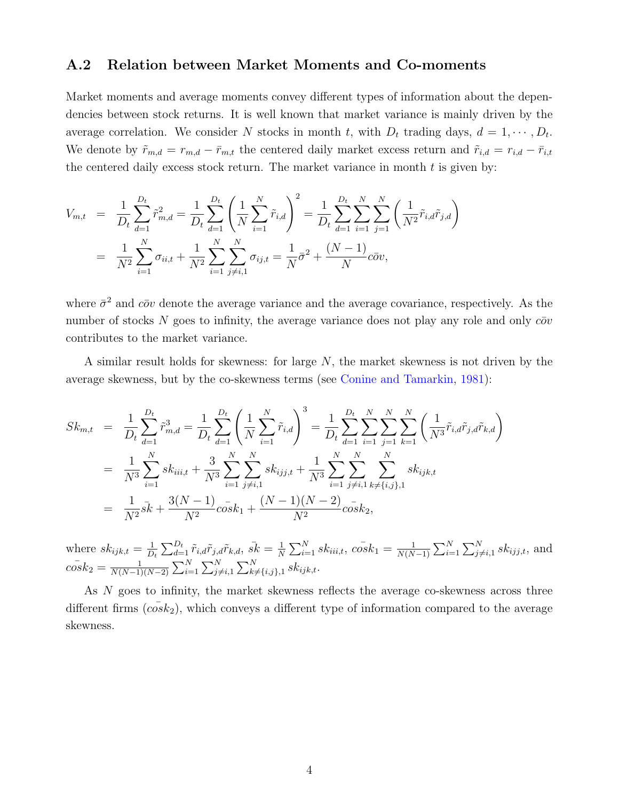#### A.2 Relation between Market Moments and Co-moments

Market moments and average moments convey different types of information about the dependencies between stock returns. It is well known that market variance is mainly driven by the average correlation. We consider N stocks in month t, with  $D_t$  trading days,  $d = 1, \dots, D_t$ . We denote by  $\tilde{r}_{m,d} = r_{m,d} - \bar{r}_{m,t}$  the centered daily market excess return and  $\tilde{r}_{i,d} = r_{i,d} - \bar{r}_{i,t}$ the centered daily excess stock return. The market variance in month  $t$  is given by:

$$
V_{m,t} = \frac{1}{D_t} \sum_{d=1}^{D_t} \tilde{r}_{m,d}^2 = \frac{1}{D_t} \sum_{d=1}^{D_t} \left( \frac{1}{N} \sum_{i=1}^N \tilde{r}_{i,d} \right)^2 = \frac{1}{D_t} \sum_{d=1}^{D_t} \sum_{i=1}^N \sum_{j=1}^N \left( \frac{1}{N^2} \tilde{r}_{i,d} \tilde{r}_{j,d} \right)
$$
  
= 
$$
\frac{1}{N^2} \sum_{i=1}^N \sigma_{ii,t} + \frac{1}{N^2} \sum_{i=1}^N \sum_{j \neq i,1}^N \sigma_{ij,t} = \frac{1}{N} \bar{\sigma}^2 + \frac{(N-1)}{N} c \bar{\sigma} v,
$$

where  $\bar{\sigma}^2$  and  $c\bar{\sigma}v$  denote the average variance and the average covariance, respectively. As the number of stocks N goes to infinity, the average variance does not play any role and only  $c\bar{o}v$ contributes to the market variance.

A similar result holds for skewness: for large  $N$ , the market skewness is not driven by the average skewness, but by the co-skewness terms (see [Conine and Tamarkin,](#page-15-4) [1981\)](#page-15-4):

$$
Sk_{m,t} = \frac{1}{D_t} \sum_{d=1}^{D_t} \tilde{r}_{m,d}^3 = \frac{1}{D_t} \sum_{d=1}^{D_t} \left( \frac{1}{N} \sum_{i=1}^N \tilde{r}_{i,d} \right)^3 = \frac{1}{D_t} \sum_{d=1}^{D_t} \sum_{i=1}^N \sum_{j=1}^N \sum_{k=1}^N \left( \frac{1}{N^3} \tilde{r}_{i,d} \tilde{r}_{j,d} \tilde{r}_{k,d} \right)
$$
  
\n
$$
= \frac{1}{N^3} \sum_{i=1}^N sk_{iii,t} + \frac{3}{N^3} \sum_{i=1}^N \sum_{j \neq i,1}^N sk_{ijj,t} + \frac{1}{N^3} \sum_{i=1}^N \sum_{j \neq i,1}^N \sum_{k \neq \{i,j\},1}^N sk_{ijk,t}
$$
  
\n
$$
= \frac{1}{N^2} \bar{sk} + \frac{3(N-1)}{N^2} \bar{c} \bar{c} \bar{s} \bar{k}_1 + \frac{(N-1)(N-2)}{N^2} \bar{c} \bar{s} \bar{k}_2,
$$

where  $sk_{ijk,t} = \frac{1}{D}$  $\frac{1}{D_t}\sum_{d=1}^{D_t}\tilde{r}_{i,d}\tilde{r}_{j,d}\tilde{r}_{k,d},\, \bar{sk}=\frac{1}{N}$  $\frac{1}{N}\sum_{i=1}^N sk_{iii,t},\ \bar{cosk_1} = \frac{1}{N(N)}$  $\frac{1}{N(N-1)}\sum_{i=1}^{N}\sum_{j\neq i,1}^{N}sk_{ijj,t}$ , and  $\bar{cosk_2} = \frac{1}{N(N-1)}$  $\frac{1}{N(N-1)(N-2)} \sum_{i=1}^{N} \sum_{j \neq i,1}^{N} \sum_{k \neq \{i,j\},1}^{N} sk_{ijk,t}.$ 

As N goes to infinity, the market skewness reflects the average co-skewness across three different firms  $(c \overline{c} s k_2)$ , which conveys a different type of information compared to the average skewness.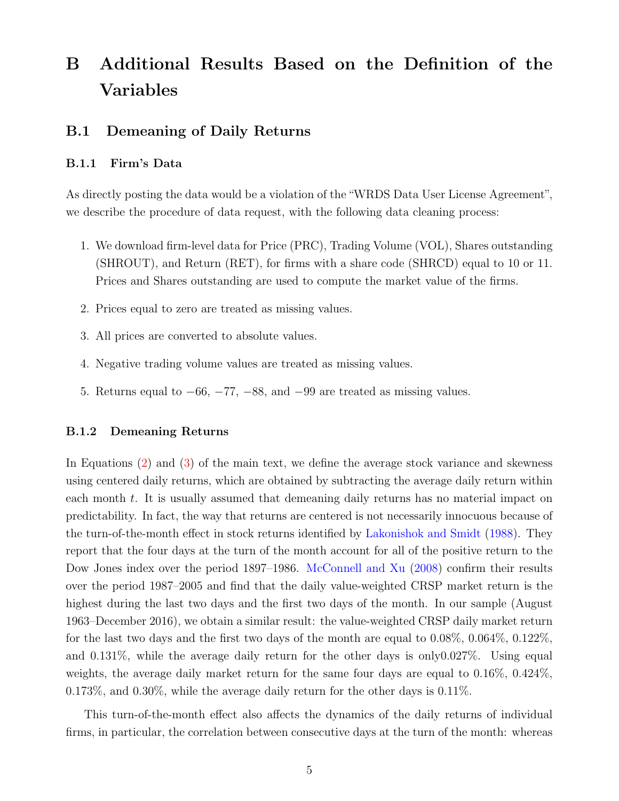# <span id="page-4-0"></span>B Additional Results Based on the Definition of the Variables

## <span id="page-4-1"></span>B.1 Demeaning of Daily Returns

#### B.1.1 Firm's Data

As directly posting the data would be a violation of the "WRDS Data User License Agreement", we describe the procedure of data request, with the following data cleaning process:

- 1. We download firm-level data for Price (PRC), Trading Volume (VOL), Shares outstanding (SHROUT), and Return (RET), for firms with a share code (SHRCD) equal to 10 or 11. Prices and Shares outstanding are used to compute the market value of the firms.
- 2. Prices equal to zero are treated as missing values.
- 3. All prices are converted to absolute values.
- 4. Negative trading volume values are treated as missing values.
- 5. Returns equal to  $-66$ ,  $-77$ ,  $-88$ , and  $-99$  are treated as missing values.

#### B.1.2 Demeaning Returns

In Equations [\(2\)](#page-0-2) and [\(3\)](#page-0-2) of the main text, we define the average stock variance and skewness using centered daily returns, which are obtained by subtracting the average daily return within each month t. It is usually assumed that demeaning daily returns has no material impact on predictability. In fact, the way that returns are centered is not necessarily innocuous because of the turn-of-the-month effect in stock returns identified by [Lakonishok and Smidt](#page-16-3) [\(1988\)](#page-16-3). They report that the four days at the turn of the month account for all of the positive return to the Dow Jones index over the period 1897–1986. [McConnell and Xu](#page-16-4) [\(2008\)](#page-16-4) confirm their results over the period 1987–2005 and find that the daily value-weighted CRSP market return is the highest during the last two days and the first two days of the month. In our sample (August 1963–December 2016), we obtain a similar result: the value-weighted CRSP daily market return for the last two days and the first two days of the month are equal to  $0.08\%$ ,  $0.064\%$ ,  $0.122\%$ , and 0.131%, while the average daily return for the other days is only0.027%. Using equal weights, the average daily market return for the same four days are equal to 0.16%, 0.424%, 0.173%, and 0.30%, while the average daily return for the other days is 0.11%.

This turn-of-the-month effect also affects the dynamics of the daily returns of individual firms, in particular, the correlation between consecutive days at the turn of the month: whereas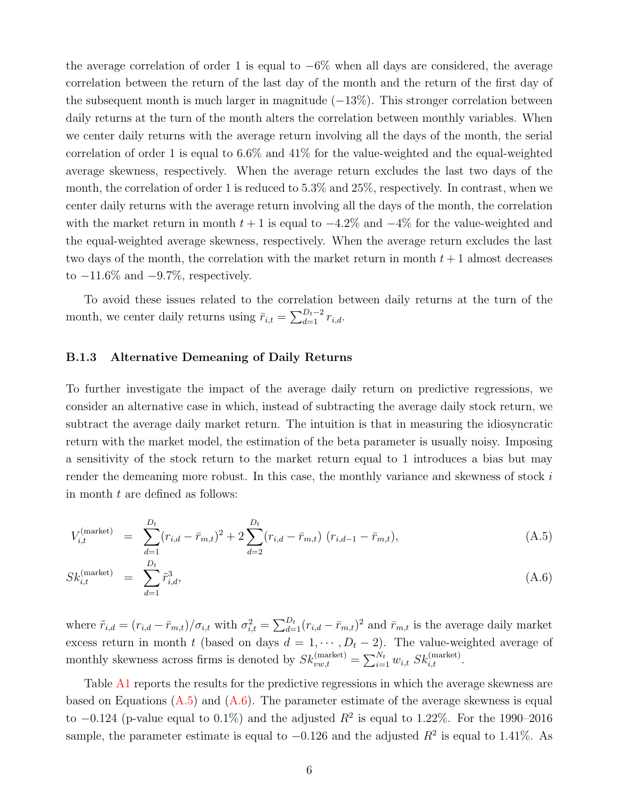the average correlation of order 1 is equal to  $-6\%$  when all days are considered, the average correlation between the return of the last day of the month and the return of the first day of the subsequent month is much larger in magnitude  $(-13\%)$ . This stronger correlation between daily returns at the turn of the month alters the correlation between monthly variables. When we center daily returns with the average return involving all the days of the month, the serial correlation of order 1 is equal to 6.6% and 41% for the value-weighted and the equal-weighted average skewness, respectively. When the average return excludes the last two days of the month, the correlation of order 1 is reduced to 5.3% and 25%, respectively. In contrast, when we center daily returns with the average return involving all the days of the month, the correlation with the market return in month  $t + 1$  is equal to  $-4.2\%$  and  $-4\%$  for the value-weighted and the equal-weighted average skewness, respectively. When the average return excludes the last two days of the month, the correlation with the market return in month  $t + 1$  almost decreases to  $-11.6\%$  and  $-9.7\%$ , respectively.

To avoid these issues related to the correlation between daily returns at the turn of the month, we center daily returns using  $\bar{r}_{i,t} = \sum_{d=1}^{D_t-2} r_{i,d}$ .

#### B.1.3 Alternative Demeaning of Daily Returns

To further investigate the impact of the average daily return on predictive regressions, we consider an alternative case in which, instead of subtracting the average daily stock return, we subtract the average daily market return. The intuition is that in measuring the idiosyncratic return with the market model, the estimation of the beta parameter is usually noisy. Imposing a sensitivity of the stock return to the market return equal to 1 introduces a bias but may render the demeaning more robust. In this case, the monthly variance and skewness of stock  $i$ in month t are defined as follows:

<span id="page-5-0"></span>
$$
V_{i,t}^{(\text{market})} = \sum_{d=1}^{D_t} (r_{i,d} - \bar{r}_{m,t})^2 + 2 \sum_{d=2}^{D_t} (r_{i,d} - \bar{r}_{m,t}) (r_{i,d-1} - \bar{r}_{m,t}), \tag{A.5}
$$

$$
Sk_{i,t}^{\text{(market)}} = \sum_{d=1}^{D_t} \tilde{r}_{i,d}^3,
$$
\n(A.6)

where  $\tilde{r}_{i,d} = (r_{i,d} - \bar{r}_{m,t})/\sigma_{i,t}$  with  $\sigma_{i,t}^2 = \sum_{d=1}^{D_t} (r_{i,d} - \bar{r}_{m,t})^2$  and  $\bar{r}_{m,t}$  is the average daily market excess return in month t (based on days  $d = 1, \dots, D_t - 2$ ). The value-weighted average of monthly skewness across firms is denoted by  $Sk_{vw,t}^{(market)} = \sum_{i=1}^{N_t} w_{i,t} S k_{i,t}^{(market)}$ .

Table [A1](#page-17-0) reports the results for the predictive regressions in which the average skewness are based on Equations  $(A.5)$  and  $(A.6)$ . The parameter estimate of the average skewness is equal to  $-0.124$  (p-value equal to  $0.1\%$ ) and the adjusted  $R^2$  is equal to 1.22%. For the 1990–2016 sample, the parameter estimate is equal to  $-0.126$  and the adjusted  $R^2$  is equal to 1.41%. As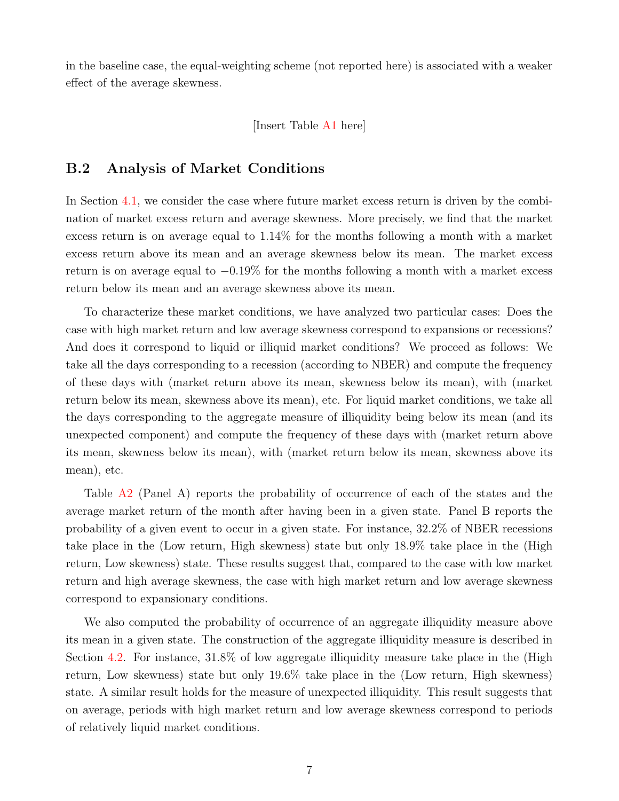in the baseline case, the equal-weighting scheme (not reported here) is associated with a weaker effect of the average skewness.

[Insert Table [A1](#page-17-0) here]

## B.2 Analysis of Market Conditions

In Section [4.1,](#page-0-2) we consider the case where future market excess return is driven by the combination of market excess return and average skewness. More precisely, we find that the market excess return is on average equal to 1.14% for the months following a month with a market excess return above its mean and an average skewness below its mean. The market excess return is on average equal to  $-0.19\%$  for the months following a month with a market excess return below its mean and an average skewness above its mean.

To characterize these market conditions, we have analyzed two particular cases: Does the case with high market return and low average skewness correspond to expansions or recessions? And does it correspond to liquid or illiquid market conditions? We proceed as follows: We take all the days corresponding to a recession (according to NBER) and compute the frequency of these days with (market return above its mean, skewness below its mean), with (market return below its mean, skewness above its mean), etc. For liquid market conditions, we take all the days corresponding to the aggregate measure of illiquidity being below its mean (and its unexpected component) and compute the frequency of these days with (market return above its mean, skewness below its mean), with (market return below its mean, skewness above its mean), etc.

Table [A2](#page-18-0) (Panel A) reports the probability of occurrence of each of the states and the average market return of the month after having been in a given state. Panel B reports the probability of a given event to occur in a given state. For instance, 32.2% of NBER recessions take place in the (Low return, High skewness) state but only 18.9% take place in the (High return, Low skewness) state. These results suggest that, compared to the case with low market return and high average skewness, the case with high market return and low average skewness correspond to expansionary conditions.

We also computed the probability of occurrence of an aggregate illiquidity measure above its mean in a given state. The construction of the aggregate illiquidity measure is described in Section [4.2.](#page-0-2) For instance, 31.8% of low aggregate illiquidity measure take place in the (High return, Low skewness) state but only 19.6% take place in the (Low return, High skewness) state. A similar result holds for the measure of unexpected illiquidity. This result suggests that on average, periods with high market return and low average skewness correspond to periods of relatively liquid market conditions.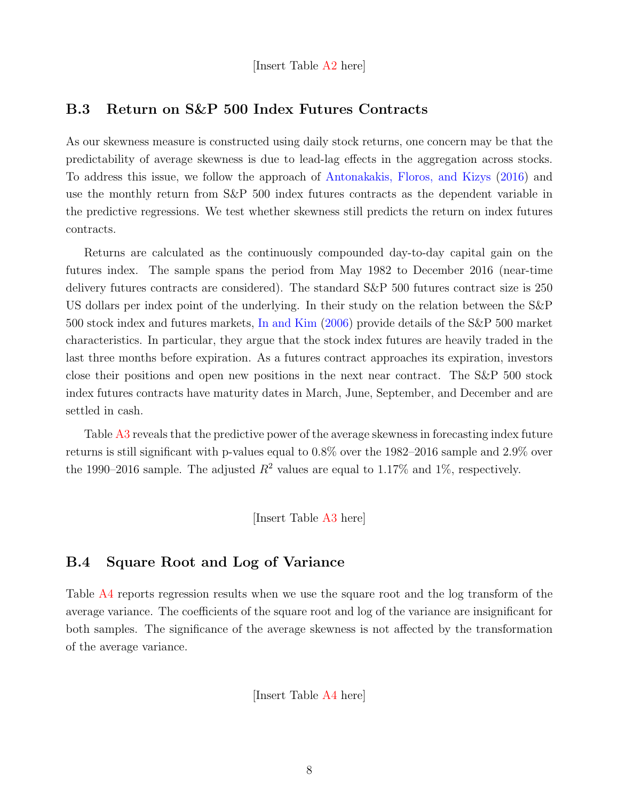[Insert Table [A2](#page-18-0) here]

#### B.3 Return on S&P 500 Index Futures Contracts

As our skewness measure is constructed using daily stock returns, one concern may be that the predictability of average skewness is due to lead-lag effects in the aggregation across stocks. To address this issue, we follow the approach of [Antonakakis, Floros, and Kizys](#page-15-5) [\(2016\)](#page-15-5) and use the monthly return from S&P 500 index futures contracts as the dependent variable in the predictive regressions. We test whether skewness still predicts the return on index futures contracts.

Returns are calculated as the continuously compounded day-to-day capital gain on the futures index. The sample spans the period from May 1982 to December 2016 (near-time delivery futures contracts are considered). The standard S&P 500 futures contract size is 250 US dollars per index point of the underlying. In their study on the relation between the S&P 500 stock index and futures markets, [In and Kim](#page-16-5) [\(2006\)](#page-16-5) provide details of the S&P 500 market characteristics. In particular, they argue that the stock index futures are heavily traded in the last three months before expiration. As a futures contract approaches its expiration, investors close their positions and open new positions in the next near contract. The S&P 500 stock index futures contracts have maturity dates in March, June, September, and December and are settled in cash.

Table [A3](#page-19-0) reveals that the predictive power of the average skewness in forecasting index future returns is still significant with p-values equal to 0.8% over the 1982–2016 sample and 2.9% over the 1990–2016 sample. The adjusted  $R^2$  values are equal to 1.17% and 1%, respectively.

[Insert Table [A3](#page-19-0) here]

## B.4 Square Root and Log of Variance

Table [A4](#page-20-0) reports regression results when we use the square root and the log transform of the average variance. The coefficients of the square root and log of the variance are insignificant for both samples. The significance of the average skewness is not affected by the transformation of the average variance.

[Insert Table [A4](#page-20-0) here]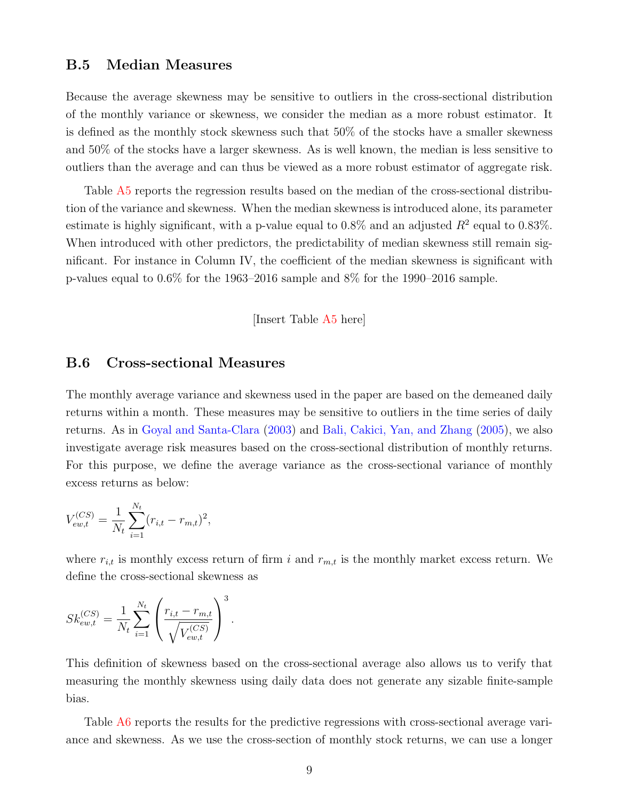#### B.5 Median Measures

Because the average skewness may be sensitive to outliers in the cross-sectional distribution of the monthly variance or skewness, we consider the median as a more robust estimator. It is defined as the monthly stock skewness such that 50% of the stocks have a smaller skewness and 50% of the stocks have a larger skewness. As is well known, the median is less sensitive to outliers than the average and can thus be viewed as a more robust estimator of aggregate risk.

Table [A5](#page-21-0) reports the regression results based on the median of the cross-sectional distribution of the variance and skewness. When the median skewness is introduced alone, its parameter estimate is highly significant, with a p-value equal to  $0.8\%$  and an adjusted  $R^2$  equal to  $0.83\%$ . When introduced with other predictors, the predictability of median skewness still remain significant. For instance in Column IV, the coefficient of the median skewness is significant with p-values equal to 0.6% for the 1963–2016 sample and 8% for the 1990–2016 sample.

[Insert Table [A5](#page-21-0) here]

#### B.6 Cross-sectional Measures

The monthly average variance and skewness used in the paper are based on the demeaned daily returns within a month. These measures may be sensitive to outliers in the time series of daily returns. As in [Goyal and Santa-Clara](#page-16-6) [\(2003\)](#page-16-6) and [Bali, Cakici, Yan, and Zhang](#page-15-6) [\(2005\)](#page-15-6), we also investigate average risk measures based on the cross-sectional distribution of monthly returns. For this purpose, we define the average variance as the cross-sectional variance of monthly excess returns as below:

$$
V_{ew,t}^{(CS)} = \frac{1}{N_t} \sum_{i=1}^{N_t} (r_{i,t} - r_{m,t})^2,
$$

where  $r_{i,t}$  is monthly excess return of firm i and  $r_{m,t}$  is the monthly market excess return. We define the cross-sectional skewness as

$$
Sk_{ew,t}^{(CS)} = \frac{1}{N_t} \sum_{i=1}^{N_t} \left( \frac{r_{i,t} - r_{m,t}}{\sqrt{V_{ew,t}^{(CS)}}} \right)^3.
$$

This definition of skewness based on the cross-sectional average also allows us to verify that measuring the monthly skewness using daily data does not generate any sizable finite-sample bias.

Table [A6](#page-22-0) reports the results for the predictive regressions with cross-sectional average variance and skewness. As we use the cross-section of monthly stock returns, we can use a longer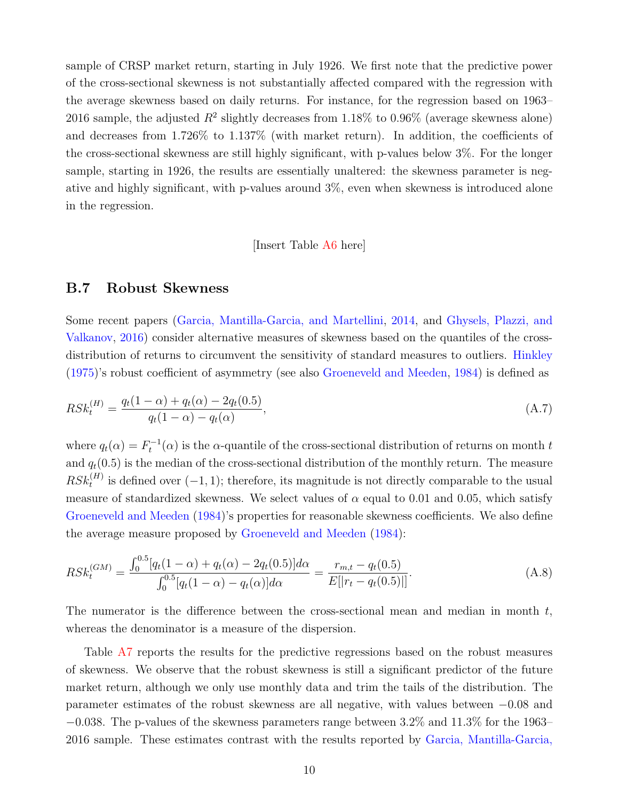sample of CRSP market return, starting in July 1926. We first note that the predictive power of the cross-sectional skewness is not substantially affected compared with the regression with the average skewness based on daily returns. For instance, for the regression based on 1963– 2016 sample, the adjusted  $R^2$  slightly decreases from 1.18% to 0.96% (average skewness alone) and decreases from 1.726% to 1.137% (with market return). In addition, the coefficients of the cross-sectional skewness are still highly significant, with p-values below 3%. For the longer sample, starting in 1926, the results are essentially unaltered: the skewness parameter is negative and highly significant, with p-values around 3%, even when skewness is introduced alone in the regression.

<span id="page-9-1"></span><span id="page-9-0"></span>[Insert Table [A6](#page-22-0) here]

#### B.7 Robust Skewness

Some recent papers [\(Garcia, Mantilla-Garcia, and Martellini,](#page-16-7) [2014,](#page-16-7) and [Ghysels, Plazzi, and](#page-16-8) [Valkanov,](#page-16-8) [2016\)](#page-16-8) consider alternative measures of skewness based on the quantiles of the cross-distribution of returns to circumvent the sensitivity of standard measures to outliers. [Hinkley](#page-16-9) [\(1975\)](#page-16-9)'s robust coefficient of asymmetry (see also [Groeneveld and Meeden,](#page-16-10) [1984\)](#page-16-10) is defined as

$$
RSk_t^{(H)} = \frac{q_t(1-\alpha) + q_t(\alpha) - 2q_t(0.5)}{q_t(1-\alpha) - q_t(\alpha)},
$$
\n(A.7)

where  $q_t(\alpha) = F_t^{-1}(\alpha)$  is the  $\alpha$ -quantile of the cross-sectional distribution of returns on month t and  $q_t(0.5)$  is the median of the cross-sectional distribution of the monthly return. The measure  $RSk_t^{(H)}$  is defined over  $(-1, 1)$ ; therefore, its magnitude is not directly comparable to the usual measure of standardized skewness. We select values of  $\alpha$  equal to 0.01 and 0.05, which satisfy [Groeneveld and Meeden](#page-16-10) [\(1984\)](#page-16-10)'s properties for reasonable skewness coefficients. We also define the average measure proposed by [Groeneveld and Meeden](#page-16-10) [\(1984\)](#page-16-10):

$$
RSk_t^{(GM)} = \frac{\int_0^{0.5} [q_t(1-\alpha) + q_t(\alpha) - 2q_t(0.5)]d\alpha}{\int_0^{0.5} [q_t(1-\alpha) - q_t(\alpha)]d\alpha} = \frac{r_{m,t} - q_t(0.5)}{E[|r_t - q_t(0.5)|]}.
$$
(A.8)

The numerator is the difference between the cross-sectional mean and median in month  $t$ , whereas the denominator is a measure of the dispersion.

Table [A7](#page-23-0) reports the results for the predictive regressions based on the robust measures of skewness. We observe that the robust skewness is still a significant predictor of the future market return, although we only use monthly data and trim the tails of the distribution. The parameter estimates of the robust skewness are all negative, with values between −0.08 and  $-0.038$ . The p-values of the skewness parameters range between 3.2% and 11.3% for the 1963– 2016 sample. These estimates contrast with the results reported by [Garcia, Mantilla-Garcia,](#page-16-7)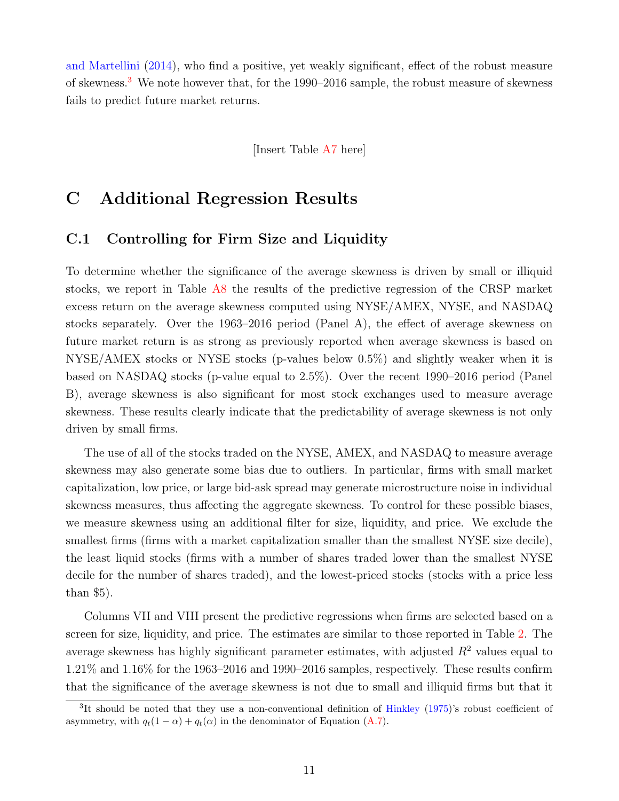[and Martellini](#page-16-7) [\(2014\)](#page-16-7), who find a positive, yet weakly significant, effect of the robust measure of skewness.<sup>[3](#page-10-1)</sup> We note however that, for the 1990–2016 sample, the robust measure of skewness fails to predict future market returns.

[Insert Table [A7](#page-23-0) here]

# <span id="page-10-0"></span>C Additional Regression Results

## <span id="page-10-2"></span>C.1 Controlling for Firm Size and Liquidity

To determine whether the significance of the average skewness is driven by small or illiquid stocks, we report in Table [A8](#page-24-0) the results of the predictive regression of the CRSP market excess return on the average skewness computed using NYSE/AMEX, NYSE, and NASDAQ stocks separately. Over the 1963–2016 period (Panel A), the effect of average skewness on future market return is as strong as previously reported when average skewness is based on NYSE/AMEX stocks or NYSE stocks (p-values below 0.5%) and slightly weaker when it is based on NASDAQ stocks (p-value equal to 2.5%). Over the recent 1990–2016 period (Panel B), average skewness is also significant for most stock exchanges used to measure average skewness. These results clearly indicate that the predictability of average skewness is not only driven by small firms.

The use of all of the stocks traded on the NYSE, AMEX, and NASDAQ to measure average skewness may also generate some bias due to outliers. In particular, firms with small market capitalization, low price, or large bid-ask spread may generate microstructure noise in individual skewness measures, thus affecting the aggregate skewness. To control for these possible biases, we measure skewness using an additional filter for size, liquidity, and price. We exclude the smallest firms (firms with a market capitalization smaller than the smallest NYSE size decile), the least liquid stocks (firms with a number of shares traded lower than the smallest NYSE decile for the number of shares traded), and the lowest-priced stocks (stocks with a price less than \$5).

Columns VII and VIII present the predictive regressions when firms are selected based on a screen for size, liquidity, and price. The estimates are similar to those reported in Table [2.](#page-18-0) The average skewness has highly significant parameter estimates, with adjusted  $R^2$  values equal to 1.21% and 1.16% for the 1963–2016 and 1990–2016 samples, respectively. These results confirm that the significance of the average skewness is not due to small and illiquid firms but that it

<span id="page-10-1"></span><sup>&</sup>lt;sup>3</sup>It should be noted that they use a non-conventional definition of [Hinkley](#page-16-9) [\(1975\)](#page-16-9)'s robust coefficient of asymmetry, with  $q_t(1 - \alpha) + q_t(\alpha)$  in the denominator of Equation [\(A.7\)](#page-9-0).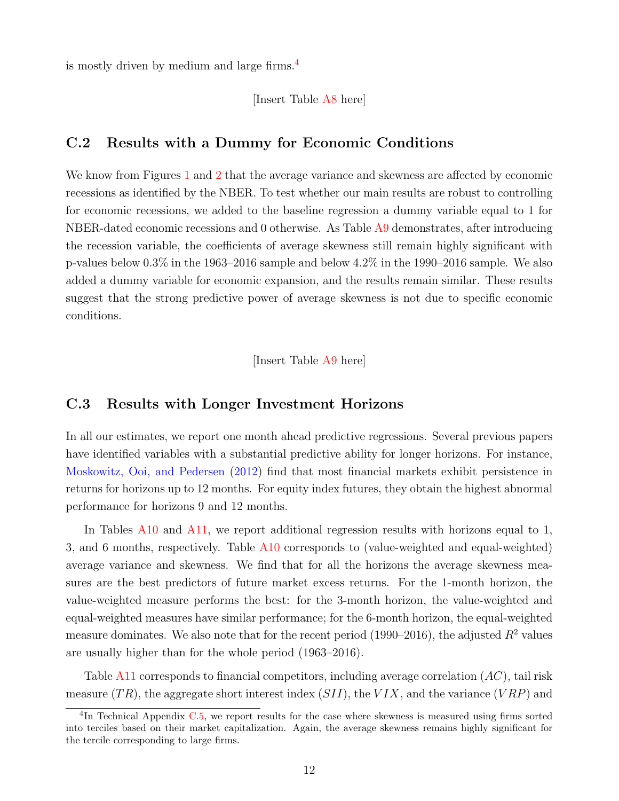is mostly driven by medium and large firms.[4](#page-11-0)

[Insert Table [A8](#page-24-0) here]

### C.2 Results with a Dummy for Economic Conditions

We know from Figures [1](#page-0-2) and [2](#page-0-2) that the average variance and skewness are affected by economic recessions as identified by the NBER. To test whether our main results are robust to controlling for economic recessions, we added to the baseline regression a dummy variable equal to 1 for NBER-dated economic recessions and 0 otherwise. As Table [A9](#page-25-0) demonstrates, after introducing the recession variable, the coefficients of average skewness still remain highly significant with p-values below 0.3% in the 1963–2016 sample and below 4.2% in the 1990–2016 sample. We also added a dummy variable for economic expansion, and the results remain similar. These results suggest that the strong predictive power of average skewness is not due to specific economic conditions.

[Insert Table [A9](#page-25-0) here]

#### <span id="page-11-1"></span>C.3 Results with Longer Investment Horizons

In all our estimates, we report one month ahead predictive regressions. Several previous papers have identified variables with a substantial predictive ability for longer horizons. For instance, [Moskowitz, Ooi, and Pedersen](#page-16-11) [\(2012\)](#page-16-11) find that most financial markets exhibit persistence in returns for horizons up to 12 months. For equity index futures, they obtain the highest abnormal performance for horizons 9 and 12 months.

In Tables [A10](#page-26-0) and [A11,](#page-27-0) we report additional regression results with horizons equal to 1, 3, and 6 months, respectively. Table [A10](#page-26-0) corresponds to (value-weighted and equal-weighted) average variance and skewness. We find that for all the horizons the average skewness measures are the best predictors of future market excess returns. For the 1-month horizon, the value-weighted measure performs the best: for the 3-month horizon, the value-weighted and equal-weighted measures have similar performance; for the 6-month horizon, the equal-weighted measure dominates. We also note that for the recent period (1990–2016), the adjusted  $R^2$  values are usually higher than for the whole period (1963–2016).

Table [A11](#page-27-0) corresponds to financial competitors, including average correlation  $(AC)$ , tail risk measure  $(TR)$ , the aggregate short interest index  $(SII)$ , the  $VIX$ , and the variance  $(VRP)$  and

<span id="page-11-0"></span><sup>&</sup>lt;sup>4</sup>In Technical Appendix [C.5,](#page-12-0) we report results for the case where skewness is measured using firms sorted into terciles based on their market capitalization. Again, the average skewness remains highly significant for the tercile corresponding to large firms.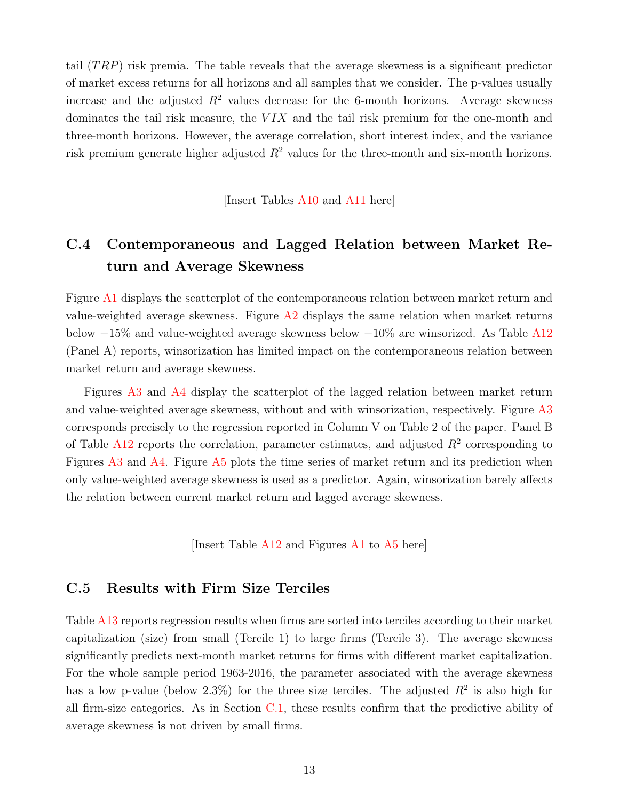tail  $(TRP)$  risk premia. The table reveals that the average skewness is a significant predictor of market excess returns for all horizons and all samples that we consider. The p-values usually increase and the adjusted  $R^2$  values decrease for the 6-month horizons. Average skewness dominates the tail risk measure, the  $VIX$  and the tail risk premium for the one-month and three-month horizons. However, the average correlation, short interest index, and the variance risk premium generate higher adjusted  $R^2$  values for the three-month and six-month horizons.

[Insert Tables [A10](#page-26-0) and [A11](#page-27-0) here]

# C.4 Contemporaneous and Lagged Relation between Market Return and Average Skewness

Figure [A1](#page-34-0) displays the scatterplot of the contemporaneous relation between market return and value-weighted average skewness. Figure  $A2$  displays the same relation when market returns below −15% and value-weighted average skewness below −10% are winsorized. As Table [A12](#page-28-0) (Panel A) reports, winsorization has limited impact on the contemporaneous relation between market return and average skewness.

Figures [A3](#page-35-0) and [A4](#page-35-1) display the scatterplot of the lagged relation between market return and value-weighted average skewness, without and with winsorization, respectively. Figure [A3](#page-35-0) corresponds precisely to the regression reported in Column V on Table 2 of the paper. Panel B of Table [A12](#page-28-0) reports the correlation, parameter estimates, and adjusted  $R^2$  corresponding to Figures [A3](#page-35-0) and [A4.](#page-35-1) Figure [A5](#page-36-0) plots the time series of market return and its prediction when only value-weighted average skewness is used as a predictor. Again, winsorization barely affects the relation between current market return and lagged average skewness.

[Insert Table [A12](#page-28-0) and Figures [A1](#page-34-0) to [A5](#page-36-0) here]

## <span id="page-12-0"></span>C.5 Results with Firm Size Terciles

Table [A13](#page-29-0) reports regression results when firms are sorted into terciles according to their market capitalization (size) from small (Tercile 1) to large firms (Tercile 3). The average skewness significantly predicts next-month market returns for firms with different market capitalization. For the whole sample period 1963-2016, the parameter associated with the average skewness has a low p-value (below 2.3%) for the three size terciles. The adjusted  $R^2$  is also high for all firm-size categories. As in Section  $C.1$ , these results confirm that the predictive ability of average skewness is not driven by small firms.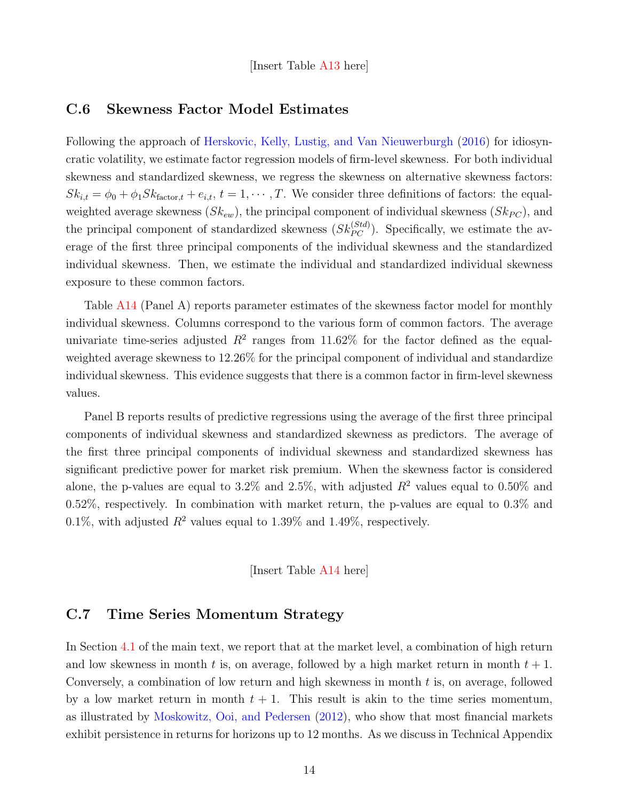[Insert Table [A13](#page-29-0) here]

#### C.6 Skewness Factor Model Estimates

Following the approach of [Herskovic, Kelly, Lustig, and Van Nieuwerburgh](#page-16-12) [\(2016\)](#page-16-12) for idiosyncratic volatility, we estimate factor regression models of firm-level skewness. For both individual skewness and standardized skewness, we regress the skewness on alternative skewness factors:  $Sk_{i,t} = \phi_0 + \phi_1 Sk_{\text{factor},t} + e_{i,t}, t = 1, \cdots, T$ . We consider three definitions of factors: the equalweighted average skewness  $(Sk_{ew})$ , the principal component of individual skewness  $(Sk_{PC})$ , and the principal component of standardized skewness  $(Sk_{PC}^{(Std)})$ . Specifically, we estimate the average of the first three principal components of the individual skewness and the standardized individual skewness. Then, we estimate the individual and standardized individual skewness exposure to these common factors.

Table [A14](#page-30-0) (Panel A) reports parameter estimates of the skewness factor model for monthly individual skewness. Columns correspond to the various form of common factors. The average univariate time-series adjusted  $R^2$  ranges from 11.62% for the factor defined as the equalweighted average skewness to 12.26% for the principal component of individual and standardize individual skewness. This evidence suggests that there is a common factor in firm-level skewness values.

Panel B reports results of predictive regressions using the average of the first three principal components of individual skewness and standardized skewness as predictors. The average of the first three principal components of individual skewness and standardized skewness has significant predictive power for market risk premium. When the skewness factor is considered alone, the p-values are equal to 3.2% and 2.5%, with adjusted  $R^2$  values equal to 0.50% and 0.52%, respectively. In combination with market return, the p-values are equal to 0.3% and 0.1%, with adjusted  $R^2$  values equal to 1.39% and 1.49%, respectively.

[Insert Table [A14](#page-30-0) here]

## C.7 Time Series Momentum Strategy

In Section [4.1](#page-0-2) of the main text, we report that at the market level, a combination of high return and low skewness in month t is, on average, followed by a high market return in month  $t + 1$ . Conversely, a combination of low return and high skewness in month  $t$  is, on average, followed by a low market return in month  $t + 1$ . This result is akin to the time series momentum, as illustrated by [Moskowitz, Ooi, and Pedersen](#page-16-11) [\(2012\)](#page-16-11), who show that most financial markets exhibit persistence in returns for horizons up to 12 months. As we discuss in Technical Appendix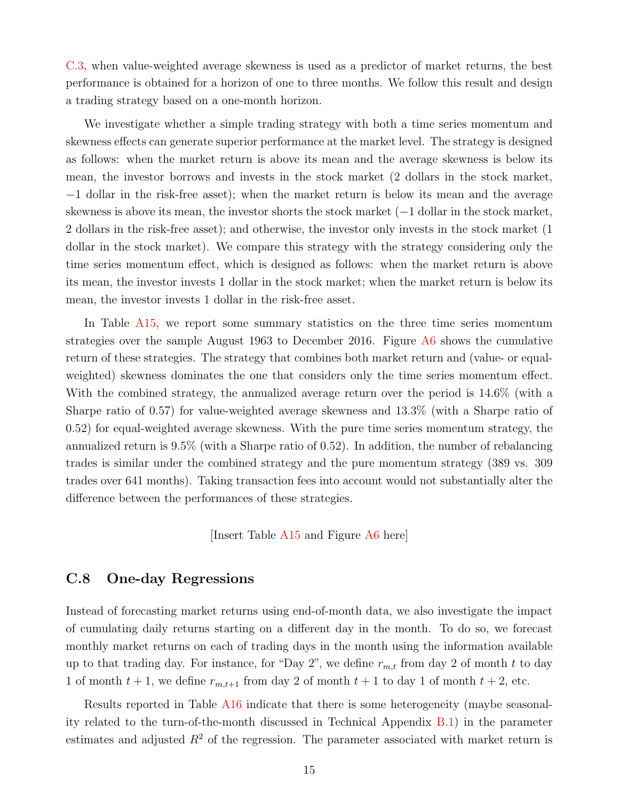[C.3,](#page-11-1) when value-weighted average skewness is used as a predictor of market returns, the best performance is obtained for a horizon of one to three months. We follow this result and design a trading strategy based on a one-month horizon.

We investigate whether a simple trading strategy with both a time series momentum and skewness effects can generate superior performance at the market level. The strategy is designed as follows: when the market return is above its mean and the average skewness is below its mean, the investor borrows and invests in the stock market (2 dollars in the stock market, −1 dollar in the risk-free asset); when the market return is below its mean and the average skewness is above its mean, the investor shorts the stock market (−1 dollar in the stock market, 2 dollars in the risk-free asset); and otherwise, the investor only invests in the stock market (1 dollar in the stock market). We compare this strategy with the strategy considering only the time series momentum effect, which is designed as follows: when the market return is above its mean, the investor invests 1 dollar in the stock market; when the market return is below its mean, the investor invests 1 dollar in the risk-free asset.

In Table [A15,](#page-31-0) we report some summary statistics on the three time series momentum strategies over the sample August 1963 to December 2016. Figure [A6](#page-37-0) shows the cumulative return of these strategies. The strategy that combines both market return and (value- or equalweighted) skewness dominates the one that considers only the time series momentum effect. With the combined strategy, the annualized average return over the period is 14.6% (with a Sharpe ratio of 0.57) for value-weighted average skewness and 13.3% (with a Sharpe ratio of 0.52) for equal-weighted average skewness. With the pure time series momentum strategy, the annualized return is 9.5% (with a Sharpe ratio of 0.52). In addition, the number of rebalancing trades is similar under the combined strategy and the pure momentum strategy (389 vs. 309 trades over 641 months). Taking transaction fees into account would not substantially alter the difference between the performances of these strategies.

[Insert Table [A15](#page-31-0) and Figure [A6](#page-37-0) here]

## C.8 One-day Regressions

Instead of forecasting market returns using end-of-month data, we also investigate the impact of cumulating daily returns starting on a different day in the month. To do so, we forecast monthly market returns on each of trading days in the month using the information available up to that trading day. For instance, for "Day 2", we define  $r_{m,t}$  from day 2 of month t to day 1 of month  $t + 1$ , we define  $r_{m,t+1}$  from day 2 of month  $t + 1$  to day 1 of month  $t + 2$ , etc.

Results reported in Table [A16](#page-32-0) indicate that there is some heterogeneity (maybe seasonality related to the turn-of-the-month discussed in Technical Appendix [B.1\)](#page-4-1) in the parameter estimates and adjusted  $R^2$  of the regression. The parameter associated with market return is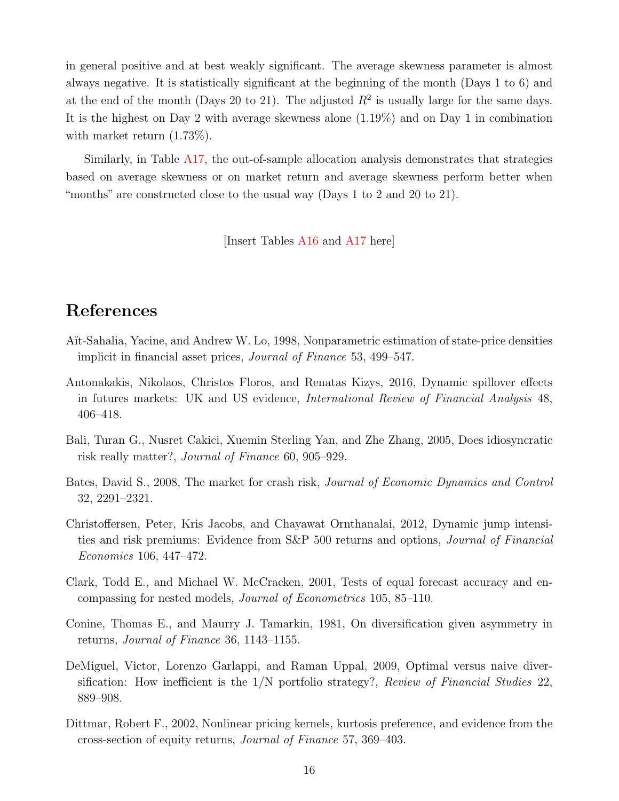in general positive and at best weakly significant. The average skewness parameter is almost always negative. It is statistically significant at the beginning of the month (Days 1 to 6) and at the end of the month (Days 20 to 21). The adjusted  $R^2$  is usually large for the same days. It is the highest on Day 2 with average skewness alone (1.19%) and on Day 1 in combination with market return  $(1.73\%)$ .

Similarly, in Table [A17,](#page-33-0) the out-of-sample allocation analysis demonstrates that strategies based on average skewness or on market return and average skewness perform better when "months" are constructed close to the usual way (Days 1 to 2 and 20 to 21).

[Insert Tables [A16](#page-32-0) and [A17](#page-33-0) here]

## References

- <span id="page-15-1"></span>Aït-Sahalia, Yacine, and Andrew W. Lo, 1998, Nonparametric estimation of state-price densities implicit in financial asset prices, Journal of Finance 53, 499–547.
- <span id="page-15-5"></span>Antonakakis, Nikolaos, Christos Floros, and Renatas Kizys, 2016, Dynamic spillover effects in futures markets: UK and US evidence, International Review of Financial Analysis 48, 406–418.
- <span id="page-15-6"></span>Bali, Turan G., Nusret Cakici, Xuemin Sterling Yan, and Zhe Zhang, 2005, Does idiosyncratic risk really matter?, Journal of Finance 60, 905–929.
- <span id="page-15-2"></span>Bates, David S., 2008, The market for crash risk, *Journal of Economic Dynamics and Control* 32, 2291–2321.
- <span id="page-15-3"></span>Christoffersen, Peter, Kris Jacobs, and Chayawat Ornthanalai, 2012, Dynamic jump intensities and risk premiums: Evidence from S&P 500 returns and options, Journal of Financial Economics 106, 447–472.
- <span id="page-15-7"></span>Clark, Todd E., and Michael W. McCracken, 2001, Tests of equal forecast accuracy and encompassing for nested models, Journal of Econometrics 105, 85–110.
- <span id="page-15-4"></span>Conine, Thomas E., and Maurry J. Tamarkin, 1981, On diversification given asymmetry in returns, Journal of Finance 36, 1143–1155.
- <span id="page-15-8"></span>DeMiguel, Victor, Lorenzo Garlappi, and Raman Uppal, 2009, Optimal versus naive diversification: How inefficient is the  $1/N$  portfolio strategy?, Review of Financial Studies 22, 889–908.
- <span id="page-15-0"></span>Dittmar, Robert F., 2002, Nonlinear pricing kernels, kurtosis preference, and evidence from the cross-section of equity returns, Journal of Finance 57, 369–403.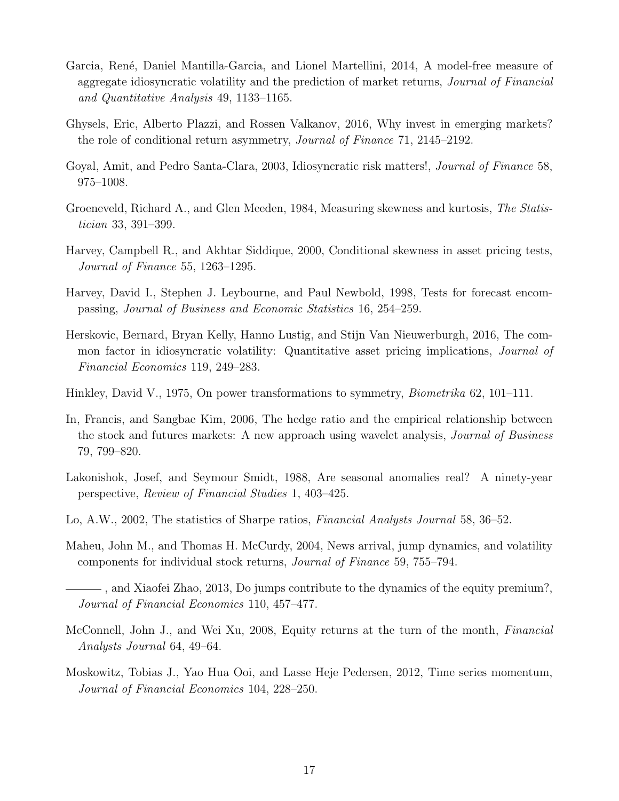- <span id="page-16-7"></span>Garcia, René, Daniel Mantilla-Garcia, and Lionel Martellini, 2014, A model-free measure of aggregate idiosyncratic volatility and the prediction of market returns, *Journal of Financial* and Quantitative Analysis 49, 1133–1165.
- <span id="page-16-8"></span>Ghysels, Eric, Alberto Plazzi, and Rossen Valkanov, 2016, Why invest in emerging markets? the role of conditional return asymmetry, Journal of Finance 71, 2145–2192.
- <span id="page-16-6"></span>Goyal, Amit, and Pedro Santa-Clara, 2003, Idiosyncratic risk matters!, Journal of Finance 58, 975–1008.
- <span id="page-16-10"></span>Groeneveld, Richard A., and Glen Meeden, 1984, Measuring skewness and kurtosis, The Statistician 33, 391–399.
- <span id="page-16-2"></span>Harvey, Campbell R., and Akhtar Siddique, 2000, Conditional skewness in asset pricing tests, Journal of Finance 55, 1263–1295.
- <span id="page-16-14"></span>Harvey, David I., Stephen J. Leybourne, and Paul Newbold, 1998, Tests for forecast encompassing, Journal of Business and Economic Statistics 16, 254–259.
- <span id="page-16-12"></span>Herskovic, Bernard, Bryan Kelly, Hanno Lustig, and Stijn Van Nieuwerburgh, 2016, The common factor in idiosyncratic volatility: Quantitative asset pricing implications, Journal of Financial Economics 119, 249–283.
- <span id="page-16-9"></span>Hinkley, David V., 1975, On power transformations to symmetry, *Biometrika* 62, 101–111.
- <span id="page-16-5"></span>In, Francis, and Sangbae Kim, 2006, The hedge ratio and the empirical relationship between the stock and futures markets: A new approach using wavelet analysis, Journal of Business 79, 799–820.
- <span id="page-16-3"></span>Lakonishok, Josef, and Seymour Smidt, 1988, Are seasonal anomalies real? A ninety-year perspective, Review of Financial Studies 1, 403–425.
- <span id="page-16-13"></span>Lo, A.W., 2002, The statistics of Sharpe ratios, *Financial Analysts Journal* 58, 36–52.
- <span id="page-16-0"></span>Maheu, John M., and Thomas H. McCurdy, 2004, News arrival, jump dynamics, and volatility components for individual stock returns, Journal of Finance 59, 755–794.
- <span id="page-16-1"></span>, and Xiaofei Zhao, 2013, Do jumps contribute to the dynamics of the equity premium?, Journal of Financial Economics 110, 457–477.
- <span id="page-16-4"></span>McConnell, John J., and Wei Xu, 2008, Equity returns at the turn of the month, Financial Analysts Journal 64, 49–64.
- <span id="page-16-11"></span>Moskowitz, Tobias J., Yao Hua Ooi, and Lasse Heje Pedersen, 2012, Time series momentum, Journal of Financial Economics 104, 228–250.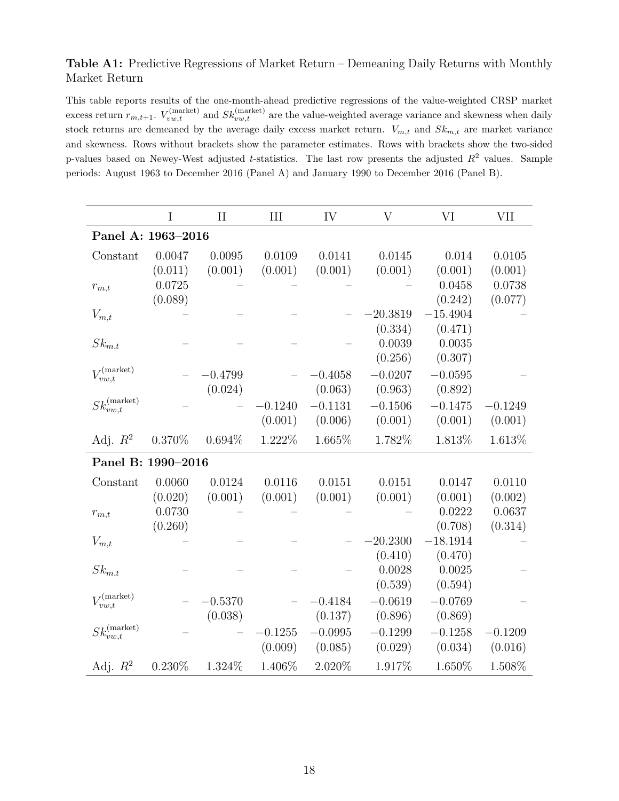### <span id="page-17-0"></span>Table A1: Predictive Regressions of Market Return – Demeaning Daily Returns with Monthly Market Return

This table reports results of the one-month-ahead predictive regressions of the value-weighted CRSP market excess return  $r_{m,t+1}$ .  $V_{vw,t}^{(market)}$  and  $Sk_{vw,t}^{(market)}$  are the value-weighted average variance and skewness when daily stock returns are demeaned by the average daily excess market return.  $V_{m,t}$  and  $Sk_{m,t}$  are market variance and skewness. Rows without brackets show the parameter estimates. Rows with brackets show the two-sided p-values based on Newey-West adjusted t-statistics. The last row presents the adjusted  $R^2$  values. Sample periods: August 1963 to December 2016 (Panel A) and January 1990 to December 2016 (Panel B).

|                               | Ι         | $\rm II$  | III       | IV        | $\rm V$    | VI         | <b>VII</b> |
|-------------------------------|-----------|-----------|-----------|-----------|------------|------------|------------|
| Panel A: 1963-2016            |           |           |           |           |            |            |            |
| Constant                      | 0.0047    | 0.0095    | 0.0109    | 0.0141    | 0.0145     | 0.014      | 0.0105     |
|                               | (0.011)   | (0.001)   | (0.001)   | (0.001)   | (0.001)    | (0.001)    | (0.001)    |
| $r_{m,t}$                     | 0.0725    |           |           |           |            | 0.0458     | 0.0738     |
|                               | (0.089)   |           |           |           |            | (0.242)    | (0.077)    |
| $V_{m,t}$                     |           |           |           |           | $-20.3819$ | $-15.4904$ |            |
|                               |           |           |           |           | (0.334)    | (0.471)    |            |
| $Sk_{m,t}$                    |           |           |           |           | 0.0039     | 0.0035     |            |
|                               |           |           |           |           | (0.256)    | (0.307)    |            |
| $V_{vw,t}^{(market)}$         |           | $-0.4799$ |           | $-0.4058$ | $-0.0207$  | $-0.0595$  |            |
|                               |           | (0.024)   |           | (0.063)   | (0.963)    | (0.892)    |            |
| $Sk_{vw,t}^{\text{(market)}}$ |           |           | $-0.1240$ | $-0.1131$ | $-0.1506$  | $-0.1475$  | $-0.1249$  |
|                               |           |           | (0.001)   | (0.006)   | (0.001)    | (0.001)    | (0.001)    |
| Adj. $R^2$                    | 0.370%    | 0.694%    | 1.222\%   | 1.665%    | 1.782%     | 1.813\%    | 1.613\%    |
| Panel B: 1990-2016            |           |           |           |           |            |            |            |
| Constant                      | 0.0060    | 0.0124    | 0.0116    | 0.0151    | 0.0151     | 0.0147     | 0.0110     |
|                               | (0.020)   | (0.001)   | (0.001)   | (0.001)   | (0.001)    | (0.001)    | (0.002)    |
| $r_{m,t}$                     | 0.0730    |           |           |           |            | 0.0222     | 0.0637     |
|                               | (0.260)   |           |           |           |            | (0.708)    | (0.314)    |
| $V_{m,t}$                     |           |           |           |           | $-20.2300$ | $-18.1914$ |            |
|                               |           |           |           |           | (0.410)    | (0.470)    |            |
| $Sk_{m,t}$                    |           |           |           |           | 0.0028     | 0.0025     |            |
|                               |           |           |           |           | (0.539)    | (0.594)    |            |
| $V_{vw,t}^{(market)}$         |           | $-0.5370$ |           | $-0.4184$ | $-0.0619$  | $-0.0769$  |            |
|                               |           | (0.038)   |           | (0.137)   | (0.896)    | (0.869)    |            |
| $Sk_{vw,t}^{\text{(market)}}$ |           |           | $-0.1255$ | $-0.0995$ | $-0.1299$  | $-0.1258$  | $-0.1209$  |
|                               |           |           | (0.009)   | (0.085)   | (0.029)    | (0.034)    | (0.016)    |
| Adj. $R^2$                    | $0.230\%$ | 1.324%    | 1.406%    | 2.020%    | 1.917%     | 1.650%     | 1.508%     |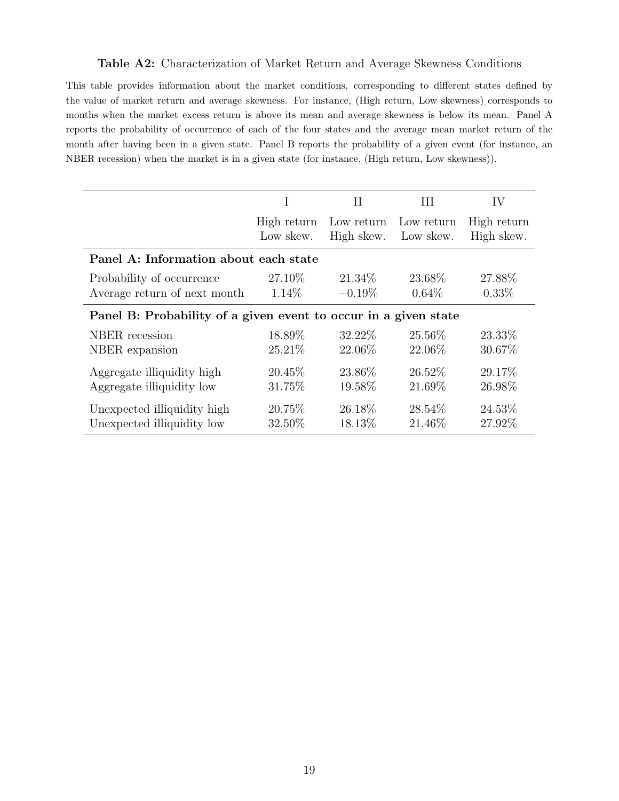#### Table A2: Characterization of Market Return and Average Skewness Conditions

<span id="page-18-0"></span>This table provides information about the market conditions, corresponding to different states defined by the value of market return and average skewness. For instance, (High return, Low skewness) corresponds to months when the market excess return is above its mean and average skewness is below its mean. Panel A reports the probability of occurrence of each of the four states and the average mean market return of the month after having been in a given state. Panel B reports the probability of a given event (for instance, an NBER recession) when the market is in a given state (for instance, (High return, Low skewness)).

|                                                                 |                          | Н                                  | Ш          | IV                        |  |  |  |  |
|-----------------------------------------------------------------|--------------------------|------------------------------------|------------|---------------------------|--|--|--|--|
|                                                                 | High return<br>Low skew. | Low return<br>High skew. Low skew. | Low return | High return<br>High skew. |  |  |  |  |
| Panel A: Information about each state                           |                          |                                    |            |                           |  |  |  |  |
| Probability of occurrence                                       | 27.10\%                  | 21.34\%                            | 23.68\%    | 27.88\%                   |  |  |  |  |
| Average return of next month                                    | $1.14\%$                 | $-0.19\%$                          | $0.64\%$   | $0.33\%$                  |  |  |  |  |
| Panel B: Probability of a given event to occur in a given state |                          |                                    |            |                           |  |  |  |  |
| NBER recession                                                  | 18.89%                   | 32.22\%                            | 25.56%     | 23.33%                    |  |  |  |  |
| NBER expansion                                                  | 25.21\%                  | 22.06\%                            | 22.06\%    | 30.67%                    |  |  |  |  |
| Aggregate illiquidity high                                      | 20.45\%                  | 23.86\%                            | 26.52\%    | 29.17%                    |  |  |  |  |
| Aggregate illiquidity low                                       | 31.75%                   | 19.58%                             | 21.69%     | 26.98%                    |  |  |  |  |
| Unexpected illiquidity high                                     | 20.75\%                  | 26.18\%                            | 28.54\%    | 24.53%                    |  |  |  |  |
| Unexpected illiquidity low                                      | 32.50%                   | 18.13%                             | 21.46\%    | 27.92%                    |  |  |  |  |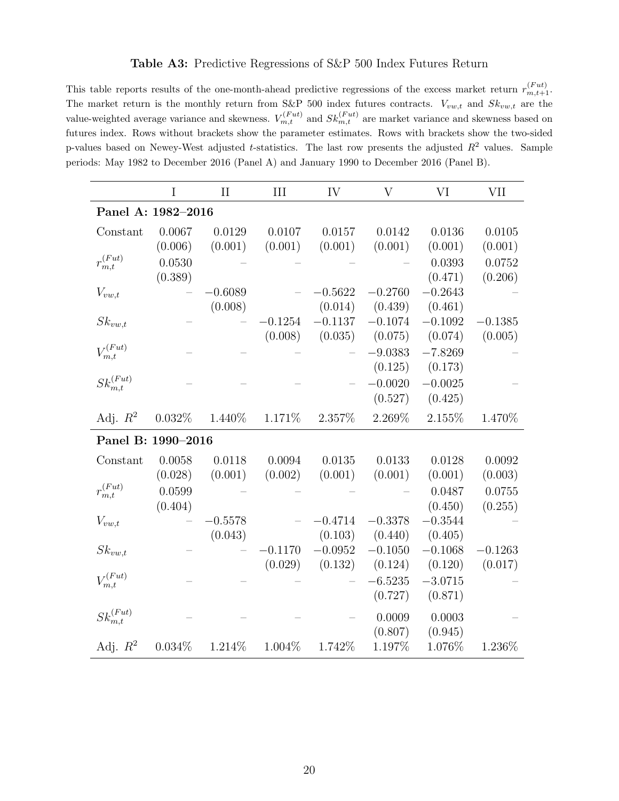#### Table A3: Predictive Regressions of S&P 500 Index Futures Return

<span id="page-19-0"></span>This table reports results of the one-month-ahead predictive regressions of the excess market return  $r_{m,t+1}^{(Fut)}$ . The market return is the monthly return from S&P 500 index futures contracts.  $V_{vw,t}$  and  $Sk_{vw,t}$  are the value-weighted average variance and skewness.  $V_{m,t}^{(Fut)}$  and  $Sk_{m,t}^{(Fut)}$  are market variance and skewness based on futures index. Rows without brackets show the parameter estimates. Rows with brackets show the two-sided p-values based on Newey-West adjusted t-statistics. The last row presents the adjusted  $R^2$  values. Sample periods: May 1982 to December 2016 (Panel A) and January 1990 to December 2016 (Panel B).

|                               | I       | $\rm II$  | III       | IV        | $\rm V$   | VI        | VII       |
|-------------------------------|---------|-----------|-----------|-----------|-----------|-----------|-----------|
| Panel A: 1982-2016            |         |           |           |           |           |           |           |
| Constant                      | 0.0067  | 0.0129    | 0.0107    | 0.0157    | 0.0142    | 0.0136    | 0.0105    |
|                               | (0.006) | (0.001)   | (0.001)   | (0.001)   | (0.001)   | (0.001)   | (0.001)   |
| $r_{m,t}^{\left( Fut\right)}$ | 0.0530  |           |           |           |           | 0.0393    | 0.0752    |
|                               | (0.389) |           |           |           |           | (0.471)   | (0.206)   |
| $V_{vw,t}$                    |         | $-0.6089$ |           | $-0.5622$ | $-0.2760$ | $-0.2643$ |           |
|                               |         | (0.008)   |           | (0.014)   | (0.439)   | (0.461)   |           |
| $Sk_{vw,t}$                   |         |           | $-0.1254$ | $-0.1137$ | $-0.1074$ | $-0.1092$ | $-0.1385$ |
|                               |         |           | (0.008)   | (0.035)   | (0.075)   | (0.074)   | (0.005)   |
| $V_{m,t}^{(Fut)}$             |         |           |           |           | $-9.0383$ | $-7.8269$ |           |
|                               |         |           |           |           | (0.125)   | (0.173)   |           |
| $Sk_{m,t}^{(Fut)}$            |         |           |           |           | $-0.0020$ | $-0.0025$ |           |
|                               |         |           |           |           | (0.527)   | (0.425)   |           |
| Adj. $R^2$                    | 0.032%  | 1.440\%   | 1.171%    | 2.357%    | 2.269%    | 2.155%    | 1.470%    |
| Panel B: 1990-2016            |         |           |           |           |           |           |           |
| Constant                      | 0.0058  | 0.0118    | 0.0094    | 0.0135    | 0.0133    | 0.0128    | 0.0092    |
|                               | (0.028) | (0.001)   | (0.002)   | (0.001)   | (0.001)   | (0.001)   | (0.003)   |
| $r_{m,t}^{(Fut)}$             | 0.0599  |           |           |           |           | 0.0487    | 0.0755    |
|                               | (0.404) |           |           |           |           | (0.450)   | (0.255)   |
| $V_{vw,t}$                    |         | $-0.5578$ |           | $-0.4714$ | $-0.3378$ | $-0.3544$ |           |
|                               |         | (0.043)   |           | (0.103)   | (0.440)   | (0.405)   |           |
| $Sk_{vw,t}$                   |         |           | $-0.1170$ | $-0.0952$ | $-0.1050$ | $-0.1068$ | $-0.1263$ |
|                               |         |           | (0.029)   | (0.132)   | (0.124)   | (0.120)   | (0.017)   |
| $V_{m,t}^{(Fut)}$             |         |           |           |           | $-6.5235$ | $-3.0715$ |           |
|                               |         |           |           |           | (0.727)   | (0.871)   |           |
| $Sk_{m,t}^{(Fut)}$            |         |           |           |           | 0.0009    | 0.0003    |           |
|                               |         |           |           |           | (0.807)   | (0.945)   |           |
| Adj. $R^2$                    | 0.034%  | 1.214%    | 1.004\%   | 1.742%    | 1.197%    | $1.076\%$ | 1.236%    |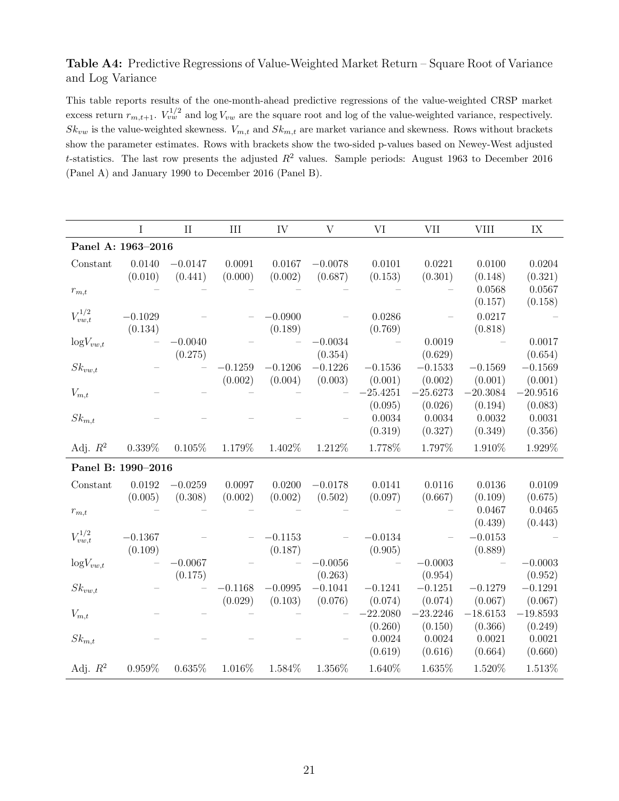### <span id="page-20-0"></span>Table A4: Predictive Regressions of Value-Weighted Market Return – Square Root of Variance and Log Variance

This table reports results of the one-month-ahead predictive regressions of the value-weighted CRSP market excess return  $r_{m,t+1}$ .  $V_{vw}^{1/2}$  and log  $V_{vw}$  are the square root and log of the value-weighted variance, respectively.  $Sk_{vw}$  is the value-weighted skewness.  $V_{m,t}$  and  $Sk_{m,t}$  are market variance and skewness. Rows without brackets show the parameter estimates. Rows with brackets show the two-sided p-values based on Newey-West adjusted t-statistics. The last row presents the adjusted  $R^2$  values. Sample periods: August 1963 to December 2016 (Panel A) and January 1990 to December 2016 (Panel B).

|                    | I         | $\prod$   | III       | IV        | V                    | VI         | <b>VII</b>           | <b>VIII</b> | $\text{IX}$          |
|--------------------|-----------|-----------|-----------|-----------|----------------------|------------|----------------------|-------------|----------------------|
| Panel A: 1963-2016 |           |           |           |           |                      |            |                      |             |                      |
| Constant           | 0.0140    | $-0.0147$ | 0.0091    | 0.0167    | $-0.0078$            | 0.0101     | 0.0221               | 0.0100      | 0.0204               |
|                    | (0.010)   | (0.441)   | (0.000)   | (0.002)   | (0.687)              | (0.153)    | (0.301)              | (0.148)     | (0.321)              |
| $r_{m,t}$          |           |           |           |           |                      |            |                      | 0.0568      | 0.0567               |
|                    |           |           |           |           |                      |            |                      | (0.157)     | (0.158)              |
| $V_{vw,t}^{1/2}$   | $-0.1029$ |           |           | $-0.0900$ |                      | 0.0286     |                      | 0.0217      |                      |
|                    | (0.134)   |           |           | (0.189)   |                      | (0.769)    |                      | (0.818)     |                      |
| $\log V_{vw,t}$    |           | $-0.0040$ |           |           | $-0.0034$            |            | 0.0019               |             | 0.0017               |
|                    |           | (0.275)   | $-0.1259$ | $-0.1206$ | (0.354)<br>$-0.1226$ | $-0.1536$  | (0.629)<br>$-0.1533$ | $-0.1569$   | (0.654)<br>$-0.1569$ |
| $Sk_{vw,t}$        |           |           | (0.002)   | (0.004)   | (0.003)              | (0.001)    | (0.002)              | (0.001)     | (0.001)              |
| $V_{m,t}$          |           |           |           |           |                      | $-25.4251$ | $-25.6273$           | $-20.3084$  | $-20.9516$           |
|                    |           |           |           |           |                      | (0.095)    | (0.026)              | (0.194)     | (0.083)              |
| $Sk_{m,t}$         |           |           |           |           |                      | 0.0034     | 0.0034               | 0.0032      | 0.0031               |
|                    |           |           |           |           |                      | (0.319)    | (0.327)              | (0.349)     | (0.356)              |
| Adj. $R^2$         | $0.339\%$ | $0.105\%$ | $1.179\%$ | 1.402\%   | 1.212%               | 1.778%     | 1.797%               | 1.910%      | 1.929%               |
| Panel B: 1990-2016 |           |           |           |           |                      |            |                      |             |                      |
| Constant           | 0.0192    | $-0.0259$ | 0.0097    | 0.0200    | $-0.0178$            | 0.0141     | 0.0116               | 0.0136      | 0.0109               |
|                    | (0.005)   | (0.308)   | (0.002)   | (0.002)   | (0.502)              | (0.097)    | (0.667)              | (0.109)     | (0.675)              |
| $r_{m,t}$          |           |           |           |           |                      |            |                      | 0.0467      | 0.0465               |
|                    |           |           |           |           |                      |            |                      | (0.439)     | (0.443)              |
| $V_{vw,t}^{1/2}$   | $-0.1367$ |           |           | $-0.1153$ |                      | $-0.0134$  |                      | $-0.0153$   |                      |
|                    | (0.109)   |           |           | (0.187)   |                      | (0.905)    |                      | (0.889)     |                      |
| $\log V_{vw,t}$    |           | $-0.0067$ |           |           | $-0.0056$            |            | $-0.0003$            |             | $-0.0003$            |
|                    |           | (0.175)   |           |           | (0.263)              |            | (0.954)              |             | (0.952)              |
| $Sk_{vw,t}$        |           |           | $-0.1168$ | $-0.0995$ | $-0.1041$            | $-0.1241$  | $-0.1251$            | $-0.1279$   | $-0.1291$            |
|                    |           |           | (0.029)   | (0.103)   | (0.076)              | (0.074)    | (0.074)              | (0.067)     | (0.067)              |
| $V_{m,t}$          |           |           |           |           |                      | $-22.2080$ | $-23.2246$           | $-18.6153$  | $-19.8593$           |
|                    |           |           |           |           |                      | (0.260)    | (0.150)              | (0.366)     | (0.249)              |
| $Sk_{m,t}$         |           |           |           |           |                      | 0.0024     | 0.0024               | 0.0021      | 0.0021               |
|                    |           |           |           |           |                      | (0.619)    | (0.616)              | (0.664)     | (0.660)              |
| Adj. $R^2$         | $0.959\%$ | $0.635\%$ | 1.016%    | 1.584%    | $1.356\%$            | 1.640%     | 1.635%               | 1.520%      | 1.513%               |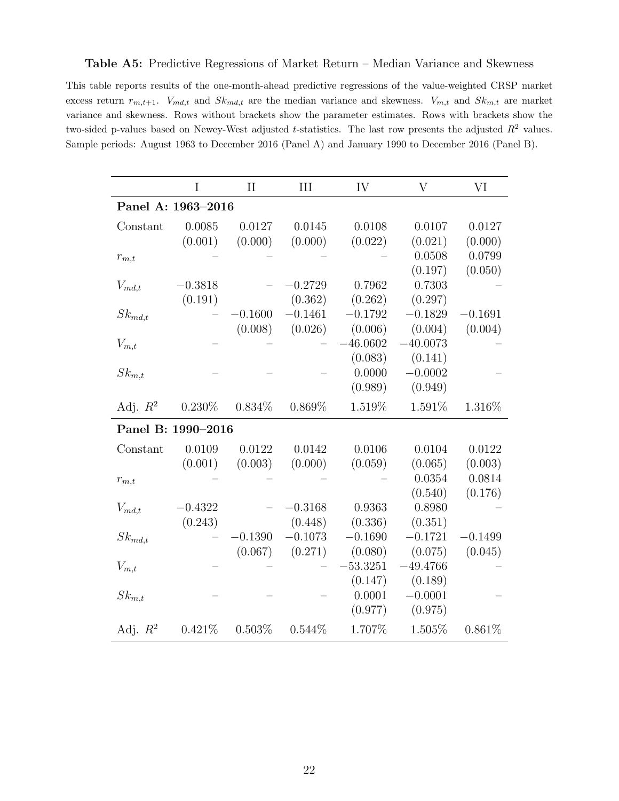#### <span id="page-21-0"></span>Table A5: Predictive Regressions of Market Return – Median Variance and Skewness

This table reports results of the one-month-ahead predictive regressions of the value-weighted CRSP market excess return  $r_{m,t+1}$ .  $V_{md,t}$  and  $Sk_{md,t}$  are the median variance and skewness.  $V_{m,t}$  and  $Sk_{m,t}$  are market variance and skewness. Rows without brackets show the parameter estimates. Rows with brackets show the two-sided p-values based on Newey-West adjusted t-statistics. The last row presents the adjusted  $R^2$  values. Sample periods: August 1963 to December 2016 (Panel A) and January 1990 to December 2016 (Panel B).

|                    | I         | $\rm II$  | III       | IV         | V          | VI        |
|--------------------|-----------|-----------|-----------|------------|------------|-----------|
| Panel A: 1963-2016 |           |           |           |            |            |           |
| Constant           | 0.0085    | 0.0127    | 0.0145    | 0.0108     | 0.0107     | 0.0127    |
|                    | (0.001)   | (0.000)   | (0.000)   | (0.022)    | (0.021)    | (0.000)   |
| $r_{m,t}$          |           |           |           |            | 0.0508     | 0.0799    |
|                    |           |           |           |            | (0.197)    | (0.050)   |
| $V_{md,t}$         | $-0.3818$ |           | $-0.2729$ | 0.7962     | 0.7303     |           |
|                    | (0.191)   |           | (0.362)   | (0.262)    | (0.297)    |           |
| $Sk_{md,t}$        |           | $-0.1600$ | $-0.1461$ | $-0.1792$  | $-0.1829$  | $-0.1691$ |
|                    |           | (0.008)   | (0.026)   | (0.006)    | (0.004)    | (0.004)   |
| $V_{m,t}$          |           |           |           | $-46.0602$ | $-40.0073$ |           |
|                    |           |           |           | (0.083)    | (0.141)    |           |
| $Sk_{m,t}$         |           |           |           | 0.0000     | $-0.0002$  |           |
|                    |           |           |           | (0.989)    | (0.949)    |           |
| Adj. $R^2$         | $0.230\%$ | $0.834\%$ | $0.869\%$ | 1.519%     | 1.591%     | 1.316%    |
| Panel B: 1990-2016 |           |           |           |            |            |           |
| Constant           | 0.0109    | 0.0122    | 0.0142    | 0.0106     | 0.0104     | 0.0122    |
|                    | (0.001)   | (0.003)   | (0.000)   | (0.059)    | (0.065)    | (0.003)   |
| $r_{m,t}$          |           |           |           |            | 0.0354     | 0.0814    |
|                    |           |           |           |            | (0.540)    | (0.176)   |
| $V_{md,t}$         | $-0.4322$ |           | $-0.3168$ | 0.9363     | 0.8980     |           |
|                    | (0.243)   |           | (0.448)   | (0.336)    | (0.351)    |           |
| $Sk_{md,t}$        |           | $-0.1390$ | $-0.1073$ | $-0.1690$  | $-0.1721$  | $-0.1499$ |
|                    |           | (0.067)   | (0.271)   | (0.080)    | (0.075)    | (0.045)   |
| $V_{m,t}$          |           |           |           | $-53.3251$ | $-49.4766$ |           |
|                    |           |           |           | (0.147)    | (0.189)    |           |
| $Sk_{m,t}$         |           |           |           | 0.0001     | $-0.0001$  |           |
|                    |           |           |           | (0.977)    | (0.975)    |           |
| Adj. $R^2$         | 0.421%    | 0.503%    | 0.544%    | 1.707%     | 1.505%     | 0.861%    |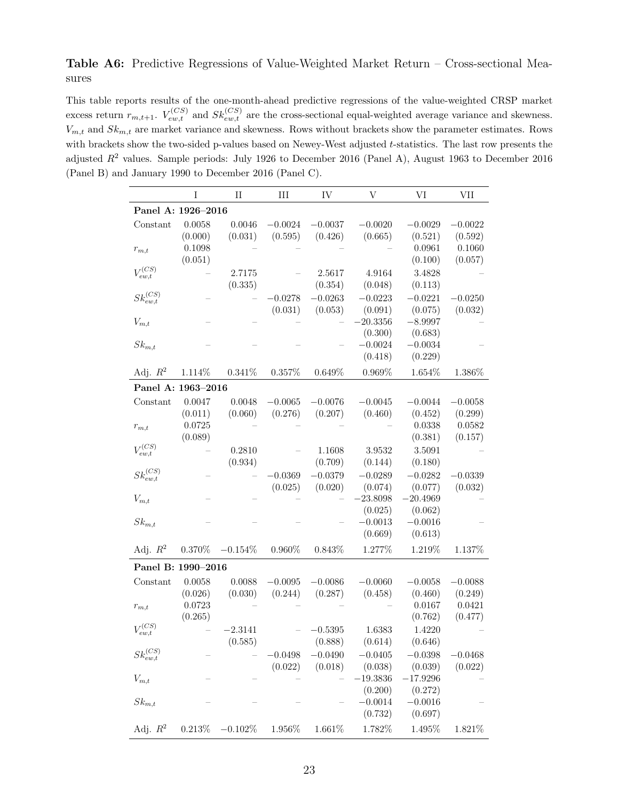## <span id="page-22-0"></span>Table A6: Predictive Regressions of Value-Weighted Market Return – Cross-sectional Measures

This table reports results of the one-month-ahead predictive regressions of the value-weighted CRSP market excess return  $r_{m,t+1}$ .  $V_{ew,t}^{(CS)}$  and  $Sk_{ew,t}^{(CS)}$  are the cross-sectional equal-weighted average variance and skewness.  $V_{m,t}$  and  $Sk_{m,t}$  are market variance and skewness. Rows without brackets show the parameter estimates. Rows with brackets show the two-sided p-values based on Newey-West adjusted t-statistics. The last row presents the adjusted  $R^2$  values. Sample periods: July 1926 to December 2016 (Panel A), August 1963 to December 2016 (Panel B) and January 1990 to December 2016 (Panel C).

|                      | I         | $\rm II$   | III       | IV        | $\bar{V}$  | VI         | VII       |
|----------------------|-----------|------------|-----------|-----------|------------|------------|-----------|
| Panel A: 1926-2016   |           |            |           |           |            |            |           |
| Constant             | 0.0058    | 0.0046     | $-0.0024$ | $-0.0037$ | $-0.0020$  | $-0.0029$  | $-0.0022$ |
|                      | (0.000)   | (0.031)    | (0.595)   | (0.426)   | (0.665)    | (0.521)    | (0.592)   |
| $r_{m,t}$            | 0.1098    |            |           |           |            | 0.0961     | 0.1060    |
|                      | (0.051)   |            |           |           |            | (0.100)    | (0.057)   |
| $V_{ew,t}^{(CS)}$    |           | 2.7175     |           | 2.5617    | 4.9164     | 3.4828     |           |
|                      |           | (0.335)    |           | (0.354)   | (0.048)    | (0.113)    |           |
| $Sk_{ew,t}^{(CS)}$   |           |            | $-0.0278$ | $-0.0263$ | $-0.0223$  | $-0.0221$  | $-0.0250$ |
|                      |           |            | (0.031)   | (0.053)   | (0.091)    | (0.075)    | (0.032)   |
| $V_{m,t}$            |           |            |           |           | 20.3356    | $-8.9997$  |           |
|                      |           |            |           |           | (0.300)    | (0.683)    |           |
| $Sk_{m,t}$           |           |            |           |           | $-0.0024$  | $-0.0034$  |           |
|                      |           |            |           |           | (0.418)    | (0.229)    |           |
| Adj. $R^2$           | 1.114%    | 0.341%     | 0.357%    | 0.649%    | 0.969%     | 1.654%     | 1.386%    |
| Panel A: 1963-2016   |           |            |           |           |            |            |           |
| Constant             | 0.0047    | 0.0048     | $-0.0065$ | $-0.0076$ | $-0.0045$  | $-0.0044$  | $-0.0058$ |
|                      | (0.011)   | (0.060)    | (0.276)   | (0.207)   | (0.460)    | (0.452)    | (0.299)   |
| $r_{m,t}$            | 0.0725    |            |           |           |            | 0.0338     | 0.0582    |
|                      | (0.089)   |            |           |           |            | (0.381)    | (0.157)   |
| $V_{ew,t}^{(CS)}$    |           | 0.2810     |           | 1.1608    | 3.9532     | 3.5091     |           |
|                      |           | (0.934)    |           | (0.709)   | (0.144)    | (0.180)    |           |
| $Sk_{ew,t}^{(CS)}$   |           |            | $-0.0369$ | $-0.0379$ | $-0.0289$  | $-0.0282$  | $-0.0339$ |
|                      |           |            | (0.025)   | (0.020)   | (0.074)    | (0.077)    | (0.032)   |
| $V_{m,t}$            |           |            |           |           | 23.8098    | $-20.4969$ |           |
|                      |           |            |           |           | (0.025)    | (0.062)    |           |
| $\mathcal{S}k_{m,t}$ |           |            |           |           | $-0.0013$  | $-0.0016$  |           |
|                      |           |            |           |           | (0.669)    | (0.613)    |           |
| Adj. $R^2$           | $0.370\%$ | $-0.154\%$ | $0.960\%$ | 0.843%    | 1.277%     | 1.219%     | 1.137%    |
| Panel B: 1990-2016   |           |            |           |           |            |            |           |
| Constant             | 0.0058    | 0.0088     | $-0.0095$ | $-0.0086$ | $-0.0060$  | $-0.0058$  | $-0.0088$ |
|                      | (0.026)   | (0.030)    | (0.244)   | (0.287)   | (0.458)    | (0.460)    | (0.249)   |
| $r_{m,t}$            | 0.0723    |            |           |           |            | 0.0167     | 0.0421    |
|                      | (0.265)   |            |           |           |            | (0.762)    | (0.477)   |
| $V_{ew,t}^{(CS)}$    |           | $-2.3141$  |           | $-0.5395$ | 1.6383     | 1.4220     |           |
|                      |           | (0.585)    |           | (0.888)   | (0.614)    | (0.646)    |           |
| $Sk_{ew,t}^{(CS)}$   |           |            | 0.0498    | $-0.0490$ | $-0.0405$  | $-0.0398$  | $-0.0468$ |
|                      |           |            | (0.022)   | (0.018)   | (0.038)    | (0.039)    | (0.022)   |
| $V_{m,t}$            |           |            |           |           | $-19.3836$ | $-17.9296$ |           |
|                      |           |            |           |           | (0.200)    | (0.272)    |           |
| $Sk_{m,t}$           |           |            |           |           | $-0.0014$  | $-0.0016$  |           |
|                      |           |            |           |           | (0.732)    | (0.697)    |           |
| Adj. $R^2$           | $0.213\%$ | $-0.102\%$ | 1.956%    | 1.661\%   | 1.782%     | 1.495%     | 1.821\%   |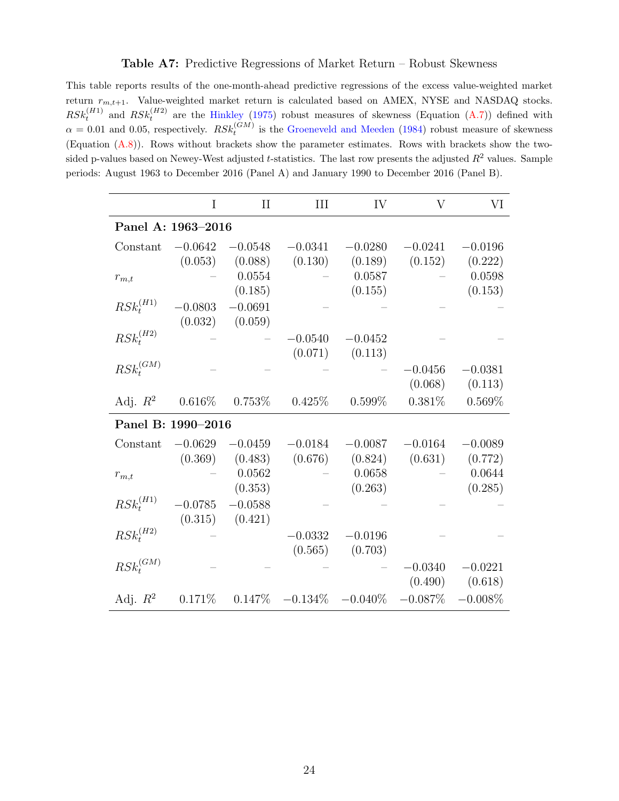#### Table A7: Predictive Regressions of Market Return – Robust Skewness

<span id="page-23-0"></span>This table reports results of the one-month-ahead predictive regressions of the excess value-weighted market return  $r_{m,t+1}$ . Value-weighted market return is calculated based on AMEX, NYSE and NASDAQ stocks.  $RSk_t^{(H1)}$  and  $RSk_t^{(H2)}$  are the [Hinkley](#page-16-9) [\(1975\)](#page-16-9) robust measures of skewness (Equation [\(A.7\)](#page-9-0)) defined with  $\alpha = 0.01$  and 0.05, respectively.  $RSk_t^{(GM)}$  is the [Groeneveld and Meeden](#page-16-10) [\(1984\)](#page-16-10) robust measure of skewness (Equation [\(A.8\)](#page-9-1)). Rows without brackets show the parameter estimates. Rows with brackets show the twosided p-values based on Newey-West adjusted t-statistics. The last row presents the adjusted  $R^2$  values. Sample periods: August 1963 to December 2016 (Panel A) and January 1990 to December 2016 (Panel B).

|                                                        | I         | $\rm II$            | III                             | IV        | V          | VI         |
|--------------------------------------------------------|-----------|---------------------|---------------------------------|-----------|------------|------------|
| Panel A: 1963-2016                                     |           |                     |                                 |           |            |            |
| Constant                                               | $-0.0642$ | $-0.0548$           | $-0.0341$                       | $-0.0280$ | $-0.0241$  | $-0.0196$  |
|                                                        | (0.053)   | (0.088)             | (0.130)                         | (0.189)   | (0.152)    | (0.222)    |
| $r_{m,t}$                                              |           | 0.0554              |                                 | 0.0587    |            | 0.0598     |
|                                                        |           | (0.185)             |                                 | (0.155)   |            | (0.153)    |
| $\mathit{RSk}^{(H1)}_t$                                | $-0.0803$ | $-0.0691$           |                                 |           |            |            |
|                                                        | (0.032)   | (0.059)             |                                 |           |            |            |
| $\mathit{RSk}^{(\mathit{H2})}_t$                       |           |                     | $-0.0540$                       | $-0.0452$ |            |            |
|                                                        |           |                     | (0.071)                         | (0.113)   |            |            |
| $\mathit{RSk}^{(\mathit{GM})}_{\scriptscriptstyle{t}}$ |           |                     |                                 |           | $-0.0456$  | $-0.0381$  |
|                                                        |           |                     |                                 |           | (0.068)    | (0.113)    |
| Adj. $R^2$ 0.616\% 0.753\%                             |           |                     | 0.425%                          | $0.599\%$ | $0.381\%$  | $0.569\%$  |
| Panel B: 1990-2016                                     |           |                     |                                 |           |            |            |
| Constant                                               | $-0.0629$ | $-0.0459$           | $-0.0184$                       | $-0.0087$ | $-0.0164$  | $-0.0089$  |
|                                                        |           | $(0.369)$ $(0.483)$ | (0.676)                         | (0.824)   | (0.631)    | (0.772)    |
| $r_{m,t}$                                              |           | 0.0562              |                                 | 0.0658    |            | 0.0644     |
|                                                        |           | (0.353)             |                                 | (0.263)   |            | (0.285)    |
| $RSk_t^{(H1)}$                                         | $-0.0785$ | $-0.0588$           |                                 |           |            |            |
|                                                        | (0.315)   | (0.421)             |                                 |           |            |            |
| $RSk_t^{(H2)}$                                         |           |                     | $-0.0332$                       | $-0.0196$ |            |            |
|                                                        |           |                     | (0.565)                         | (0.703)   |            |            |
| $RSk^{(GM)}$                                           |           |                     |                                 |           | $-0.0340$  | $-0.0221$  |
|                                                        |           |                     |                                 |           | (0.490)    | (0.618)    |
| Adj. $R^2$ 0.171\%                                     |           |                     | $0.147\%$ $-0.134\%$ $-0.040\%$ |           | $-0.087\%$ | $-0.008\%$ |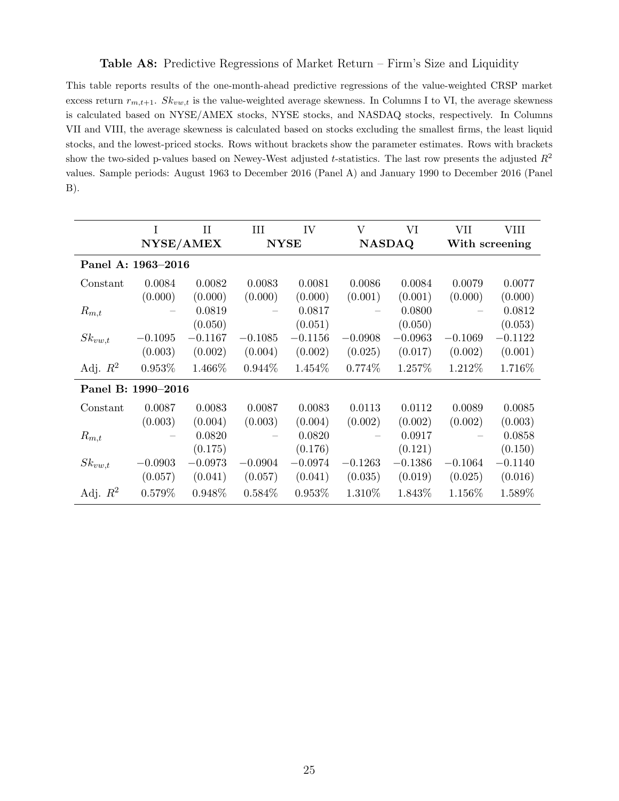#### Table A8: Predictive Regressions of Market Return – Firm's Size and Liquidity

<span id="page-24-0"></span>This table reports results of the one-month-ahead predictive regressions of the value-weighted CRSP market excess return  $r_{m,t+1}$ .  $Sk_{vw,t}$  is the value-weighted average skewness. In Columns I to VI, the average skewness is calculated based on NYSE/AMEX stocks, NYSE stocks, and NASDAQ stocks, respectively. In Columns VII and VIII, the average skewness is calculated based on stocks excluding the smallest firms, the least liquid stocks, and the lowest-priced stocks. Rows without brackets show the parameter estimates. Rows with brackets show the two-sided p-values based on Newey-West adjusted t-statistics. The last row presents the adjusted  $R^2$ values. Sample periods: August 1963 to December 2016 (Panel A) and January 1990 to December 2016 (Panel B).

|                    | T                  | $_{\rm II}$ | III       | IV          | $\rm V$   | VI            | VІІ       | VIII           |
|--------------------|--------------------|-------------|-----------|-------------|-----------|---------------|-----------|----------------|
|                    |                    | NYSE/AMEX   |           | <b>NYSE</b> |           | <b>NASDAQ</b> |           | With screening |
| Panel A: 1963-2016 |                    |             |           |             |           |               |           |                |
| Constant           | 0.0084             | 0.0082      | 0.0083    | 0.0081      | 0.0086    | 0.0084        | 0.0079    | 0.0077         |
|                    | (0.000)            | (0.000)     | (0.000)   | (0.000)     | (0.001)   | (0.001)       | (0.000)   | (0.000)        |
| $R_{m,t}$          |                    | 0.0819      |           | 0.0817      |           | 0.0800        |           | 0.0812         |
|                    |                    | (0.050)     |           | (0.051)     |           | (0.050)       |           | (0.053)        |
| $Sk_{vw,t}$        | $-0.1095$          | $-0.1167$   | $-0.1085$ | $-0.1156$   | $-0.0908$ | $-0.0963$     | $-0.1069$ | $-0.1122$      |
|                    | (0.003)            | (0.002)     | (0.004)   | (0.002)     | (0.025)   | (0.017)       | (0.002)   | (0.001)        |
| Adj. $R^2$         | $0.953\%$          | 1.466\%     | $0.944\%$ | 1.454\%     | 0.774\%   | 1.257\%       | 1.212\%   | 1.716%         |
|                    | Panel B: 1990-2016 |             |           |             |           |               |           |                |
| Constant           | 0.0087             | 0.0083      | 0.0087    | 0.0083      | 0.0113    | 0.0112        | 0.0089    | 0.0085         |
|                    | (0.003)            | (0.004)     | (0.003)   | (0.004)     | (0.002)   | (0.002)       | (0.002)   | (0.003)        |
| $R_{m,t}$          |                    | 0.0820      |           | 0.0820      |           | 0.0917        |           | 0.0858         |
|                    |                    | (0.175)     |           | (0.176)     |           | (0.121)       |           | (0.150)        |
| $Sk_{vw,t}$        | $-0.0903$          | $-0.0973$   | $-0.0904$ | $-0.0974$   | $-0.1263$ | $-0.1386$     | $-0.1064$ | $-0.1140$      |
|                    | (0.057)            | (0.041)     | (0.057)   | (0.041)     | (0.035)   | (0.019)       | (0.025)   | (0.016)        |
| Adj. $R^2$         | 0.579%             | 0.948\%     | $0.584\%$ | $0.953\%$   | 1.310\%   | 1.843\%       | 1.156\%   | 1.589%         |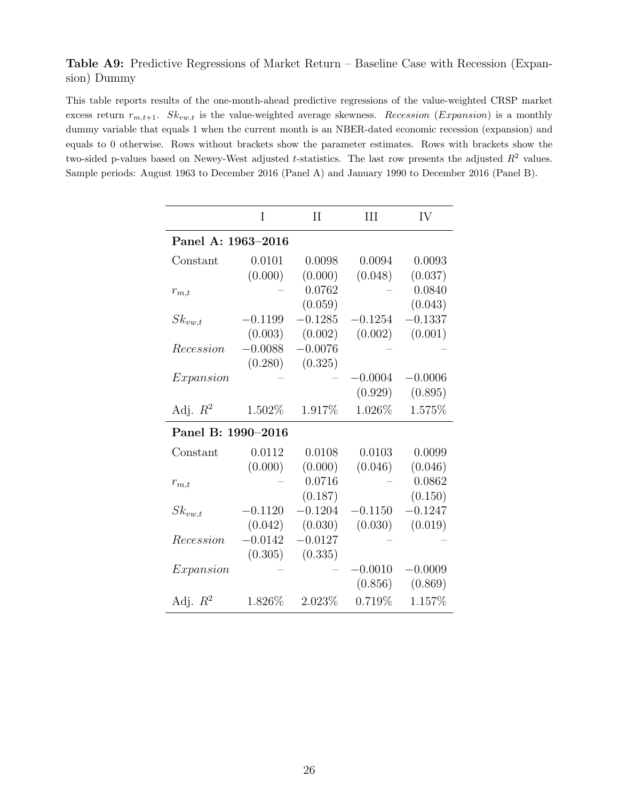#### <span id="page-25-0"></span>Table A9: Predictive Regressions of Market Return – Baseline Case with Recession (Expansion) Dummy

This table reports results of the one-month-ahead predictive regressions of the value-weighted CRSP market excess return  $r_{m,t+1}$ .  $Sk_{vw,t}$  is the value-weighted average skewness. Recession (Expansion) is a monthly dummy variable that equals 1 when the current month is an NBER-dated economic recession (expansion) and equals to 0 otherwise. Rows without brackets show the parameter estimates. Rows with brackets show the two-sided p-values based on Newey-West adjusted t-statistics. The last row presents the adjusted  $R^2$  values. Sample periods: August 1963 to December 2016 (Panel A) and January 1990 to December 2016 (Panel B).

|                    | I         | $\rm II$  | III       | IV        |
|--------------------|-----------|-----------|-----------|-----------|
| Panel A: 1963-2016 |           |           |           |           |
| Constant           | 0.0101    | 0.0098    | 0.0094    | 0.0093    |
|                    | (0.000)   | (0.000)   | (0.048)   | (0.037)   |
| $r_{m,t}$          |           | 0.0762    |           | 0.0840    |
|                    |           | (0.059)   |           | (0.043)   |
| $Sk_{vw,t}$        | $-0.1199$ | $-0.1285$ | $-0.1254$ | $-0.1337$ |
|                    | (0.003)   | (0.002)   | (0.002)   | (0.001)   |
| Recession          | $-0.0088$ | $-0.0076$ |           |           |
|                    | (0.280)   | (0.325)   |           |           |
| Expanion           |           |           | $-0.0004$ | $-0.0006$ |
|                    |           |           | (0.929)   | (0.895)   |
| Adj. $R^2$         | 1.502\%   | 1.917\%   | 1.026\%   | 1.575%    |
| Panel B: 1990-2016 |           |           |           |           |
| Constant           | 0.0112    | 0.0108    | 0.0103    | 0.0099    |
|                    | (0.000)   | (0.000)   | (0.046)   | (0.046)   |
| $r_{m,t}$          |           | 0.0716    |           | 0.0862    |
|                    |           | (0.187)   |           | (0.150)   |
| $Sk_{vw,t}$        | $-0.1120$ | $-0.1204$ | $-0.1150$ | $-0.1247$ |
|                    | (0.042)   | (0.030)   | (0.030)   | (0.019)   |
| Recession          | $-0.0142$ | $-0.0127$ |           |           |
|                    | (0.305)   | (0.335)   |           |           |
| Expansion          |           |           | $-0.0010$ | $-0.0009$ |
|                    |           |           | (0.856)   | (0.869)   |
| Adj. $R^2$         | 1.826\%   | $2.023\%$ | 0.719%    | 1.157%    |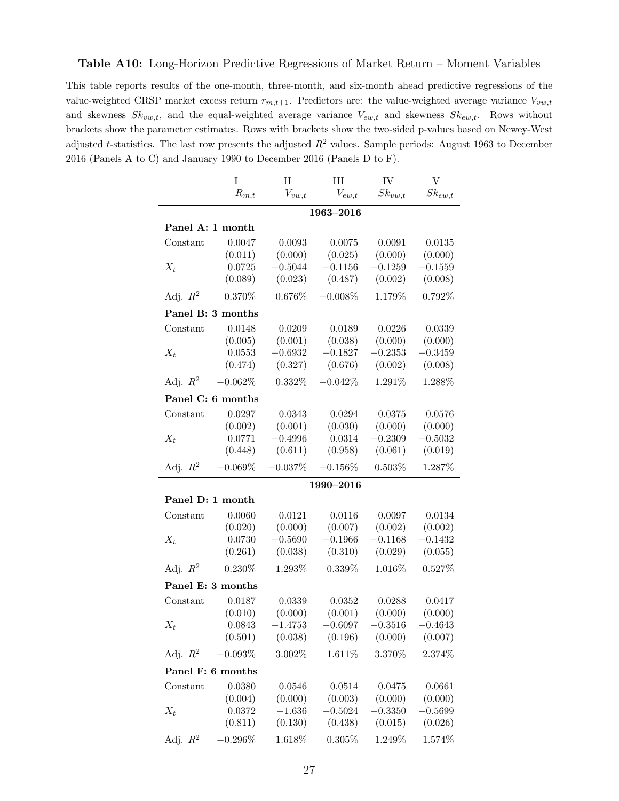<span id="page-26-0"></span>This table reports results of the one-month, three-month, and six-month ahead predictive regressions of the value-weighted CRSP market excess return  $r_{m,t+1}$ . Predictors are: the value-weighted average variance  $V_{vw,t}$ and skewness  $Sk_{vw,t}$ , and the equal-weighted average variance  $V_{ew,t}$  and skewness  $Sk_{ew,t}$ . Rows without brackets show the parameter estimates. Rows with brackets show the two-sided p-values based on Newey-West adjusted t-statistics. The last row presents the adjusted  $R^2$  values. Sample periods: August 1963 to December 2016 (Panels A to C) and January 1990 to December 2016 (Panels D to F).

|                  | I                   | $\mathbf{II}$ | III           | IV          | $\overline{V}$ |
|------------------|---------------------|---------------|---------------|-------------|----------------|
|                  | $\mathcal{R}_{m,t}$ | $V_{vw,t}$    | $V_{ew,t}$    | $Sk_{vw,t}$ | $Sk_{ew,t}$    |
|                  |                     |               | $1963 - 2016$ |             |                |
| Panel A: 1 month |                     |               |               |             |                |
| Constant         | 0.0047              | 0.0093        | 0.0075        | 0.0091      | 0.0135         |
|                  | (0.011)             | (0.000)       | (0.025)       | (0.000)     | (0.000)        |
| $X_t$            | 0.0725              | $-0.5044$     | $-0.1156$     | $-0.1259$   | $-0.1559$      |
|                  | (0.089)             | (0.023)       | (0.487)       | (0.002)     | (0.008)        |
| Adj. $R^2$       | 0.370%              | 0.676%        | $-0.008\%$    | 1.179%      | 0.792%         |
|                  | Panel B: 3 months   |               |               |             |                |
| Constant         | 0.0148              | 0.0209        | 0.0189        | 0.0226      | 0.0339         |
|                  | (0.005)             | (0.001)       | (0.038)       | (0.000)     | (0.000)        |
| $X_t$            | 0.0553              | $-0.6932$     | $-0.1827$     | $-0.2353$   | $-0.3459$      |
|                  | (0.474)             | (0.327)       | (0.676)       | (0.002)     | (0.008)        |
| Adj. $R^2$       | $-0.062\%$          | $0.332\%$     | $-0.042%$     | 1.291%      | 1.288%         |
|                  | Panel C: 6 months   |               |               |             |                |
| Constant         | 0.0297              | 0.0343        | 0.0294        | 0.0375      | 0.0576         |
|                  | (0.002)             | (0.001)       | (0.030)       | (0.000)     | (0.000)        |
| $X_t$            | 0.0771              | $-0.4996$     | 0.0314        | $-0.2309$   | $-0.5032$      |
|                  | (0.448)             | (0.611)       | (0.958)       | (0.061)     | (0.019)        |
| Adj. $R^2$       | $-0.069%$           | $-0.037%$     | $-0.156\%$    | 0.503%      | 1.287%         |
|                  |                     |               | 1990-2016     |             |                |
| Panel D: 1 month |                     |               |               |             |                |
| Constant         | 0.0060              | 0.0121        | 0.0116        | 0.0097      | 0.0134         |
|                  | (0.020)             | (0.000)       | (0.007)       | (0.002)     | (0.002)        |
| $X_t$            | 0.0730              | $-0.5690$     | $-0.1966$     | $-0.1168$   | $-0.1432$      |
|                  | (0.261)             | (0.038)       | (0.310)       | (0.029)     | (0.055)        |
| Adj. $R^2$       | $0.230\%$           | 1.293%        | 0.339%        | 1.016%      | 0.527%         |
|                  | Panel E: 3 months   |               |               |             |                |
| Constant         | 0.0187              | 0.0339        | 0.0352        | 0.0288      | 0.0417         |
|                  | (0.010)             | (0.000)       | (0.001)       | (0.000)     | (0.000)        |
| $X_t$            | 0.0843              | $-1.4753$     | $-0.6097$     | $-0.3516$   | $-0.4643$      |
|                  | (0.501)             | (0.038)       | (0.196)       | (0.000)     | (0.007)        |
| Adj. $R^2$       | $-0.093%$           | 3.002\%       | 1.611%        | 3.370%      | 2.374%         |
|                  | Panel F: 6 months   |               |               |             |                |
| Constant         | 0.0380              | 0.0546        | 0.0514        | 0.0475      | 0.0661         |
|                  | (0.004)             | (0.000)       | (0.003)       | (0.000)     | (0.000)        |
| $X_t$            | 0.0372              | $-1.636$      | $-0.5024$     | $-0.3350$   | $-0.5699$      |
|                  | (0.811)             | (0.130)       | (0.438)       | (0.015)     | (0.026)        |
| Adj. $R^2$       | $0.296\%$           | 1.618\%       | $0.305\%$     | 1.249\%     | 1.574\%        |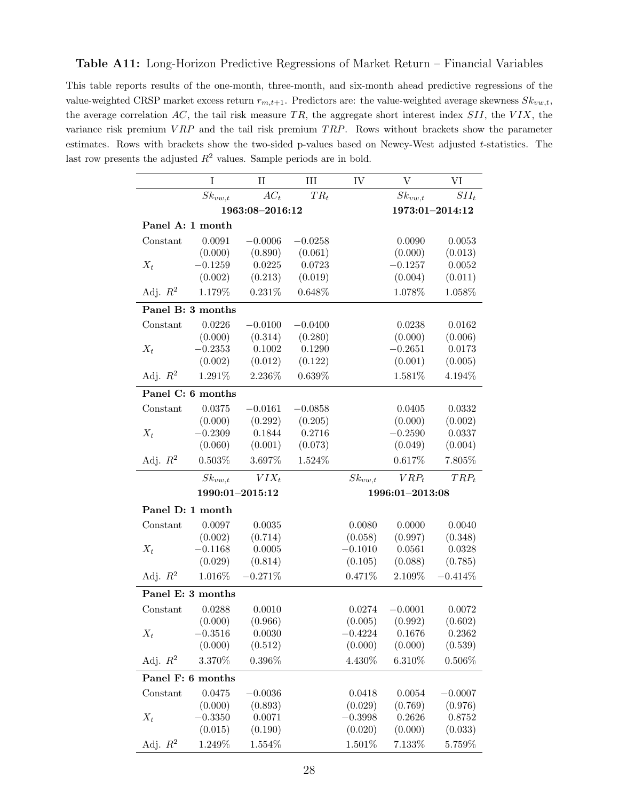#### <span id="page-27-0"></span>Table A11: Long-Horizon Predictive Regressions of Market Return – Financial Variables

This table reports results of the one-month, three-month, and six-month ahead predictive regressions of the value-weighted CRSP market excess return  $r_{m,t+1}$ . Predictors are: the value-weighted average skewness  $Sk_{vw,t}$ , the average correlation  $AC$ , the tail risk measure TR, the aggregate short interest index  $SII$ , the  $VIX$ , the variance risk premium  $VRP$  and the tail risk premium  $TRP$ . Rows without brackets show the parameter estimates. Rows with brackets show the two-sided p-values based on Newey-West adjusted t-statistics. The last row presents the adjusted  $R^2$  values. Sample periods are in bold.

|                   | I                 | $\rm II$        | III       | IV          | $\overline{V}$  | VI              |  |  |
|-------------------|-------------------|-----------------|-----------|-------------|-----------------|-----------------|--|--|
|                   | $Sk_{vw,t}$       | $AC_t$          | $TR_t$    |             | $Sk_{vw,t}$     | $SII_t$         |  |  |
|                   |                   | 1963:08-2016:12 |           |             |                 | 1973:01-2014:12 |  |  |
| Panel A: 1 month  |                   |                 |           |             |                 |                 |  |  |
| Constant          | 0.0091            | $-0.0006$       | $-0.0258$ |             | 0.0090          | 0.0053          |  |  |
|                   | (0.000)           | (0.890)         | (0.061)   |             | (0.000)         | (0.013)         |  |  |
| $X_t$             | $-0.1259$         | 0.0225          | 0.0723    |             | $-0.1257$       | 0.0052          |  |  |
|                   | (0.002)           | (0.213)         | (0.019)   |             | (0.004)         | (0.011)         |  |  |
| Adj. $R^2$        | 1.179%            | 0.231%          | 0.648%    |             | 1.078%          | 1.058%          |  |  |
|                   | Panel B: 3 months |                 |           |             |                 |                 |  |  |
| Constant          | 0.0226            | $-0.0100$       | $-0.0400$ |             | 0.0238          | 0.0162          |  |  |
|                   | (0.000)           | (0.314)         | (0.280)   |             | (0.000)         | (0.006)         |  |  |
| $X_t$             | $-0.2353$         | 0.1002          | 0.1290    |             | $-0.2651$       | 0.0173          |  |  |
|                   | (0.002)           | (0.012)         | (0.122)   |             | (0.001)         | (0.005)         |  |  |
| Adj. $R^2$        | 1.291%            | 2.236%          | 0.639%    |             | 1.581%          | 4.194%          |  |  |
| Panel C: 6 months |                   |                 |           |             |                 |                 |  |  |
| Constant          | 0.0375            | $-0.0161$       | $-0.0858$ |             | 0.0405          | 0.0332          |  |  |
|                   | (0.000)           | (0.292)         | (0.205)   |             | (0.000)         | (0.002)         |  |  |
| $X_t$             | $-0.2309$         | 0.1844          | 0.2716    |             | $-0.2590$       | 0.0337          |  |  |
|                   | (0.060)           | (0.001)         | (0.073)   |             | (0.049)         | (0.004)         |  |  |
| Adj. $R^2$        | 0.503%            | 3.697%          | 1.524%    |             | $0.617\%$       | $7.805\%$       |  |  |
|                   | $Sk_{vw,t}$       | $VIX_t$         |           | $Sk_{vw,t}$ | $VRP_t$         | $TRP_t$         |  |  |
|                   |                   | 1990:01-2015:12 |           |             | 1996:01-2013:08 |                 |  |  |
| Panel D: 1 month  |                   |                 |           |             |                 |                 |  |  |
| Constant          | 0.0097            | 0.0035          |           | 0.0080      | 0.0000          | 0.0040          |  |  |
|                   | (0.002)           | (0.714)         |           | (0.058)     | (0.997)         | (0.348)         |  |  |
| $X_t$             | $-0.1168$         | 0.0005          |           | $-0.1010$   | 0.0561          | 0.0328          |  |  |
|                   | (0.029)           | (0.814)         |           | (0.105)     | (0.088)         | (0.785)         |  |  |
| Adj. $R^2$        | 1.016%            | $-0.271%$       |           | 0.471%      | 2.109%          | $-0.414\%$      |  |  |
|                   | Panel E: 3 months |                 |           |             |                 |                 |  |  |
| Constant          | 0.0288            | 0.0010          |           | 0.0274      | $-0.0001$       | 0.0072          |  |  |
|                   | (0.000)           | (0.966)         |           | (0.005)     | (0.992)         | (0.602)         |  |  |
| $X_t$             | $-0.3516$         | 0.0030          |           | $-0.4224$   | 0.1676          | 0.2362          |  |  |
|                   | (0.000)           | (0.512)         |           | (0.000)     | (0.000)         | (0.539)         |  |  |
| Adj. $R^2$        | 3.370%            | $0.396\%$       |           | 4.430\%     | 6.310%          | $0.506\%$       |  |  |
|                   | Panel F: 6 months |                 |           |             |                 |                 |  |  |
| Constant          | 0.0475            | $-0.0036$       |           | 0.0418      | 0.0054          | $-0.0007$       |  |  |
|                   | (0.000)           | (0.893)         |           | (0.029)     | (0.769)         | (0.976)         |  |  |
| $X_t$             | $-0.3350$         | 0.0071          |           | $-0.3998$   | 0.2626          | 0.8752          |  |  |
|                   | (0.015)           | (0.190)         |           | (0.020)     | (0.000)         | (0.033)         |  |  |
| Adj. $R^2$        | 1.249%            | 1.554%          |           | 1.501%      | 7.133%          | 5.759%          |  |  |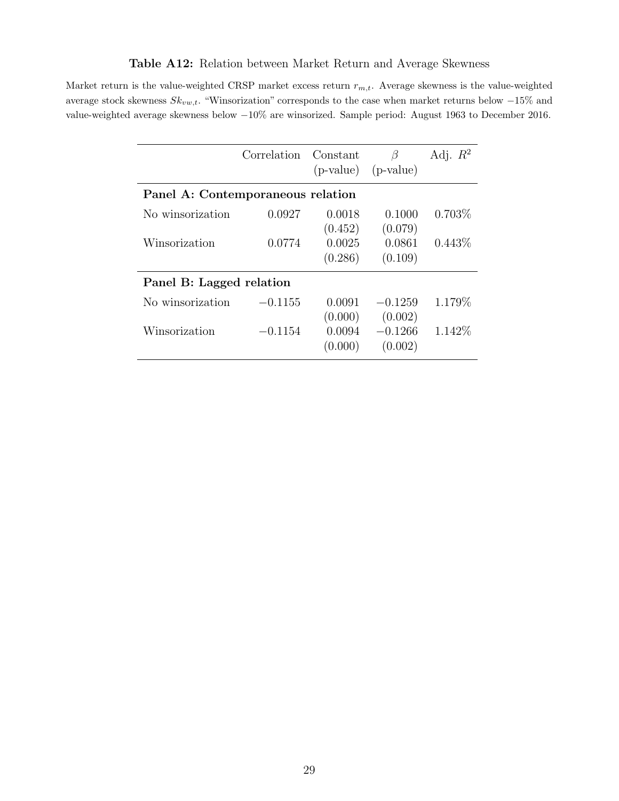## Table A12: Relation between Market Return and Average Skewness

<span id="page-28-0"></span>Market return is the value-weighted CRSP market excess return  $r_{m,t}$ . Average skewness is the value-weighted average stock skewness  $Sk_{vw,t}$ . "Winsorization" corresponds to the case when market returns below  $-15\%$  and value-weighted average skewness below −10% are winsorized. Sample period: August 1963 to December 2016.

|                                   | Correlation | Constant | β                       | Adj. $R^2$ |  |  |  |  |  |
|-----------------------------------|-------------|----------|-------------------------|------------|--|--|--|--|--|
|                                   |             |          | $(p-value)$ $(p-value)$ |            |  |  |  |  |  |
| Panel A: Contemporaneous relation |             |          |                         |            |  |  |  |  |  |
| No winsorization                  | 0.0927      | 0.0018   | 0.1000                  | 0.703%     |  |  |  |  |  |
|                                   |             | (0.452)  | (0.079)                 |            |  |  |  |  |  |
| Winsorization                     | 0.0774      | 0.0025   | 0.0861                  | $0.443\%$  |  |  |  |  |  |
|                                   |             | (0.286)  | (0.109)                 |            |  |  |  |  |  |
| Panel B: Lagged relation          |             |          |                         |            |  |  |  |  |  |
| No winsorization                  | $-0.1155$   | 0.0091   | $-0.1259$               | 1.179%     |  |  |  |  |  |
|                                   |             | (0.000)  | (0.002)                 |            |  |  |  |  |  |
| Winsorization                     | $-0.1154$   | 0.0094   | $-0.1266$               | 1.142\%    |  |  |  |  |  |
|                                   |             | (0.000)  | (0.002)                 |            |  |  |  |  |  |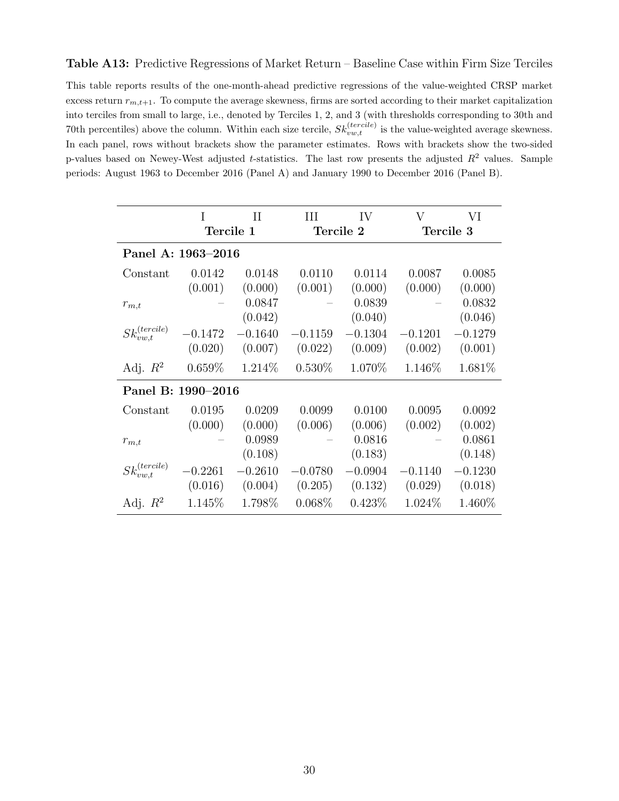#### <span id="page-29-0"></span>Table A13: Predictive Regressions of Market Return – Baseline Case within Firm Size Terciles

This table reports results of the one-month-ahead predictive regressions of the value-weighted CRSP market excess return  $r_{m,t+1}$ . To compute the average skewness, firms are sorted according to their market capitalization into terciles from small to large, i.e., denoted by Terciles 1, 2, and 3 (with thresholds corresponding to 30th and 70th percentiles) above the column. Within each size tercile,  $Sk_{vw,t}^{(tercile)}$  is the value-weighted average skewness. In each panel, rows without brackets show the parameter estimates. Rows with brackets show the two-sided p-values based on Newey-West adjusted t-statistics. The last row presents the adjusted  $R^2$  values. Sample periods: August 1963 to December 2016 (Panel A) and January 1990 to December 2016 (Panel B).

|                         | Н<br>T             |           | Ш         | IV        | V         | VI        |  |  |  |
|-------------------------|--------------------|-----------|-----------|-----------|-----------|-----------|--|--|--|
|                         | Tercile 1          |           |           | Tercile 2 | Tercile 3 |           |  |  |  |
|                         | Panel A: 1963-2016 |           |           |           |           |           |  |  |  |
| Constant                | 0.0142             | 0.0148    | 0.0110    | 0.0114    | 0.0087    | 0.0085    |  |  |  |
|                         | (0.001)            | (0.000)   | (0.001)   | (0.000)   | (0.000)   | (0.000)   |  |  |  |
| $r_{m,t}$               |                    | 0.0847    |           | 0.0839    |           | 0.0832    |  |  |  |
|                         |                    | (0.042)   |           | (0.040)   |           | (0.046)   |  |  |  |
| $Sk_{vw,t}^{(tercile)}$ | $-0.1472$          | $-0.1640$ | $-0.1159$ | $-0.1304$ | $-0.1201$ | $-0.1279$ |  |  |  |
|                         | (0.020)            | (0.007)   | (0.022)   | (0.009)   | (0.002)   | (0.001)   |  |  |  |
| Adj. $R^2$              | $0.659\%$          | 1.214\%   | $0.530\%$ | 1.070\%   | 1.146\%   | 1.681\%   |  |  |  |
|                         | Panel B: 1990-2016 |           |           |           |           |           |  |  |  |
| Constant                | 0.0195             | 0.0209    | 0.0099    | 0.0100    | 0.0095    | 0.0092    |  |  |  |
|                         | (0.000)            | (0.000)   | (0.006)   | (0.006)   | (0.002)   | (0.002)   |  |  |  |
| $r_{m,t}$               |                    | 0.0989    |           | 0.0816    |           | 0.0861    |  |  |  |
|                         |                    | (0.108)   |           | (0.183)   |           | (0.148)   |  |  |  |
| $Sk_{vw,t}^{(tercile)}$ | 0.2261             | $-0.2610$ | $-0.0780$ | $-0.0904$ | $-0.1140$ | $-0.1230$ |  |  |  |
|                         | (0.016)            | (0.004)   | (0.205)   | (0.132)   | (0.029)   | (0.018)   |  |  |  |
| Adj. $R^2$              | 1.145\%            | 1.798\%   | $0.068\%$ | $0.423\%$ | 1.024\%   | 1.460\%   |  |  |  |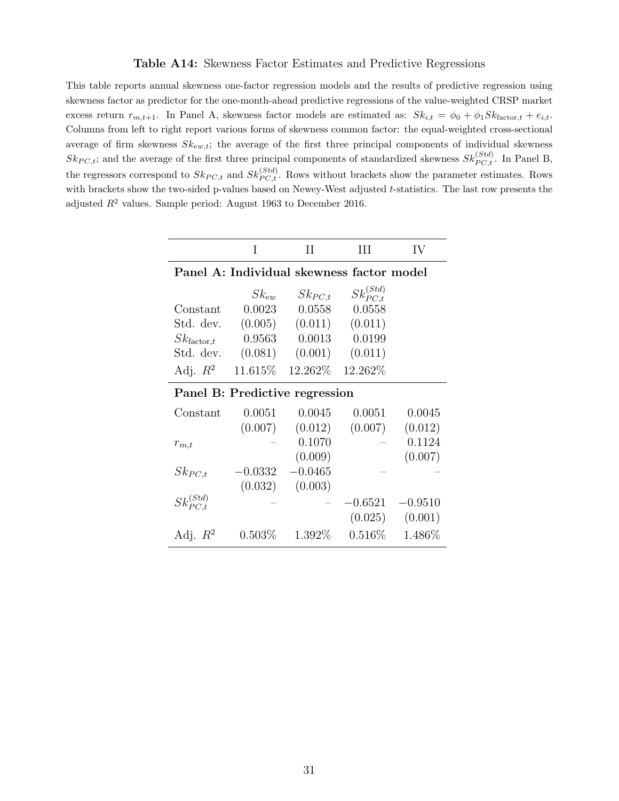#### Table A14: Skewness Factor Estimates and Predictive Regressions

<span id="page-30-0"></span>This table reports annual skewness one-factor regression models and the results of predictive regression using skewness factor as predictor for the one-month-ahead predictive regressions of the value-weighted CRSP market excess return  $r_{m,t+1}$ . In Panel A, skewness factor models are estimated as:  $Sk_{i,t} = \phi_0 + \phi_1 Sk_{\text{factor},t} + e_{i,t}$ . Columns from left to right report various forms of skewness common factor: the equal-weighted cross-sectional average of firm skewness  $Sk_{ew,t}$ ; the average of the first three principal components of individual skewness  $Sk_{PC,t}$ ; and the average of the first three principal components of standardized skewness  $Sk_{PC,t}^{(Std)}$ . In Panel B, the regressors correspond to  $Sk_{PC,t}$  and  $Sk_{PC,t}^{(Std)}$ . Rows without brackets show the parameter estimates. Rows with brackets show the two-sided p-values based on Newey-West adjusted t-statistics. The last row presents the adjusted  $R^2$  values. Sample period: August 1963 to December 2016.

|                                           | T         | Н                   | Ш                  | IV        |  |  |  |  |  |
|-------------------------------------------|-----------|---------------------|--------------------|-----------|--|--|--|--|--|
| Panel A: Individual skewness factor model |           |                     |                    |           |  |  |  |  |  |
|                                           | $Sk_{ew}$ | $Sk_{PC,t}$         | $Sk_{PCL}^{(Std)}$ |           |  |  |  |  |  |
| Constant                                  | 0.0023    | 0.0558              | 0.0558             |           |  |  |  |  |  |
| Std. dev.                                 | (0.005)   | $(0.011)$ $(0.011)$ |                    |           |  |  |  |  |  |
| $Sk_{\text{factor},t}$                    | 0.9563    | 0.0013              | 0.0199             |           |  |  |  |  |  |
| Std. dev.                                 | (0.081)   | (0.001)             | (0.011)            |           |  |  |  |  |  |
| Adj. $R^2$                                | 11.615%   | 12.262\%            | 12.262\%           |           |  |  |  |  |  |
| Panel B: Predictive regression            |           |                     |                    |           |  |  |  |  |  |
| Constant                                  | 0.0051    | 0.0045              | 0.0051             | 0.0045    |  |  |  |  |  |
|                                           | (0.007)   | (0.012)             | (0.007)            | (0.012)   |  |  |  |  |  |
| $r_{m,t}$                                 |           | 0.1070              |                    | 0.1124    |  |  |  |  |  |
|                                           |           | (0.009)             |                    | (0.007)   |  |  |  |  |  |
| $Sk_{PC,t}$                               | $-0.0332$ | $-0.0465$           |                    |           |  |  |  |  |  |
|                                           | (0.032)   | (0.003)             |                    |           |  |  |  |  |  |
| $Sk_{PCL}^{(Std)}$                        |           |                     | $-0.6521$          | $-0.9510$ |  |  |  |  |  |
|                                           |           |                     | (0.025)            | (0.001)   |  |  |  |  |  |
| Adj. $R^2$                                | $0.503\%$ | 1.392\%             | $0.516\%$          | 1.486\%   |  |  |  |  |  |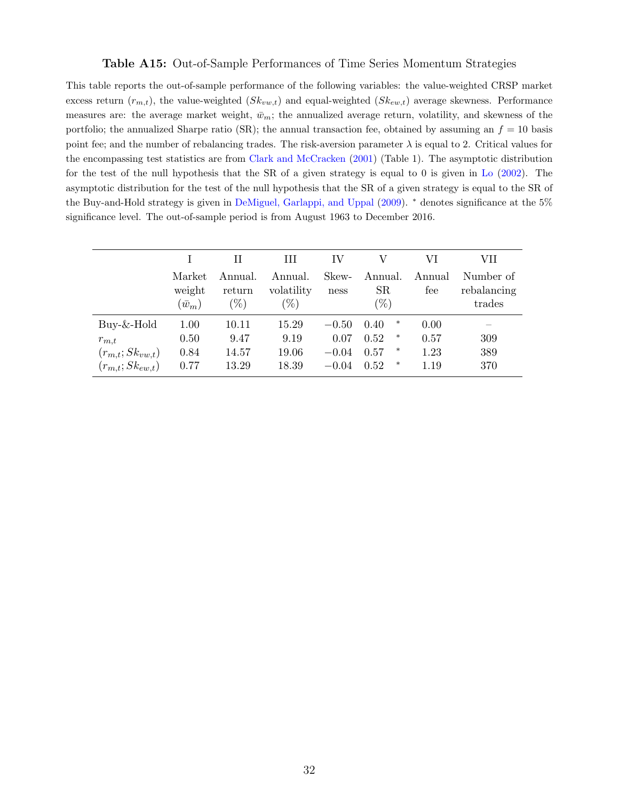#### Table A15: Out-of-Sample Performances of Time Series Momentum Strategies

<span id="page-31-0"></span>This table reports the out-of-sample performance of the following variables: the value-weighted CRSP market excess return  $(r_{m,t})$ , the value-weighted  $(Sk_{vw,t})$  and equal-weighted  $(Sk_{ew,t})$  average skewness. Performance measures are: the average market weight,  $\bar{w}_m$ ; the annualized average return, volatility, and skewness of the portfolio; the annualized Sharpe ratio (SR); the annual transaction fee, obtained by assuming an  $f = 10$  basis point fee; and the number of rebalancing trades. The risk-aversion parameter  $\lambda$  is equal to 2. Critical values for the encompassing test statistics are from [Clark and McCracken](#page-15-7) [\(2001\)](#page-15-7) (Table 1). The asymptotic distribution for the test of the null hypothesis that the SR of a given strategy is equal to 0 is given in [Lo](#page-16-13) [\(2002\)](#page-16-13). The asymptotic distribution for the test of the null hypothesis that the SR of a given strategy is equal to the SR of the Buy-and-Hold strategy is given in [DeMiguel, Garlappi, and Uppal](#page-15-8) [\(2009\)](#page-15-8). <sup>∗</sup> denotes significance at the 5% significance level. The out-of-sample period is from August 1963 to December 2016.

|                       |                                   | Н<br>Ш                      |                                 | IV            |                                  | VI            | VН                                 |  |
|-----------------------|-----------------------------------|-----------------------------|---------------------------------|---------------|----------------------------------|---------------|------------------------------------|--|
|                       | Market<br>weight<br>$(\bar{w}_m)$ | Annual.<br>return<br>$(\%)$ | Annual.<br>volatility<br>$(\%)$ | Skew-<br>ness | Annual.<br>$_{\rm SR}$<br>$(\%)$ | Annual<br>fee | Number of<br>rebalancing<br>trades |  |
| $Buy-\&-Hold$         | 1.00                              | 10.11                       | 15.29                           | $-0.50$       | ∗<br>0.40                        | 0.00          |                                    |  |
| $r_{m,t}$             | 0.50                              | 9.47                        | 9.19                            | 0.07          | $\ast$<br>0.52                   | 0.57          | 309                                |  |
| $(r_{m,t};Sk_{vw,t})$ | 0.84                              | 14.57                       | 19.06                           | $-0.04$       | $\ast$<br>0.57                   | 1.23          | 389                                |  |
| $(r_{m,t};Sk_{ew,t})$ | 0.77                              | 13.29                       | 18.39                           | $-0.04$       | $\ast$<br>0.52                   | 1.19          | 370                                |  |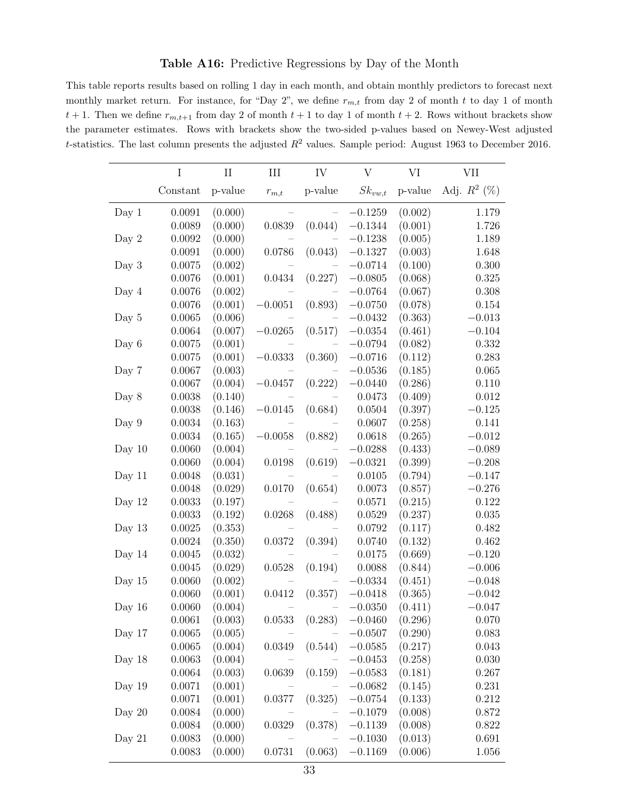#### Table A16: Predictive Regressions by Day of the Month

<span id="page-32-0"></span>This table reports results based on rolling 1 day in each month, and obtain monthly predictors to forecast next monthly market return. For instance, for "Day 2", we define  $r_{m,t}$  from day 2 of month t to day 1 of month  $t + 1$ . Then we define  $r_{m,t+1}$  from day 2 of month  $t + 1$  to day 1 of month  $t + 2$ . Rows without brackets show the parameter estimates. Rows with brackets show the two-sided p-values based on Newey-West adjusted t-statistics. The last column presents the adjusted  $R^2$  values. Sample period: August 1963 to December 2016.

|          | I        | $\rm II$ | III        | IV                       | $\rm V$     | VI      | <b>VII</b>     |
|----------|----------|----------|------------|--------------------------|-------------|---------|----------------|
|          | Constant | p-value  | $r_{m,t}$  | p-value                  | $Sk_{vw,t}$ | p-value | Adj. $R^2$ (%) |
| Day 1    | 0.0091   | (0.000)  |            | $\overline{\phantom{a}}$ | $-0.1259$   | (0.002) | 1.179          |
|          | 0.0089   | (0.000)  | $0.0839\,$ | (0.044)                  | $-0.1344$   | (0.001) | 1.726          |
| Day $2$  | 0.0092   | (0.000)  |            |                          | $-0.1238$   | (0.005) | 1.189          |
|          | 0.0091   | (0.000)  | $0.0786\,$ | (0.043)                  | $-0.1327$   | (0.003) | 1.648          |
| Day 3    | 0.0075   | (0.002)  |            |                          | $-0.0714$   | (0.100) | 0.300          |
|          | 0.0076   | (0.001)  | 0.0434     | (0.227)                  | $-0.0805$   | (0.068) | 0.325          |
| Day $4$  | 0.0076   | (0.002)  |            |                          | $-0.0764$   | (0.067) | 0.308          |
|          | 0.0076   | (0.001)  | $-0.0051$  | (0.893)                  | $-0.0750$   | (0.078) | 0.154          |
| Day $5$  | 0.0065   | (0.006)  |            |                          | $-0.0432$   | (0.363) | $-0.013$       |
|          | 0.0064   | (0.007)  | $-0.0265$  | (0.517)                  | $-0.0354$   | (0.461) | $-0.104$       |
| Day $6$  | 0.0075   | (0.001)  |            |                          | $-0.0794$   | (0.082) | 0.332          |
|          | 0.0075   | (0.001)  | $-0.0333$  | (0.360)                  | $-0.0716$   | (0.112) | 0.283          |
| Day 7    | 0.0067   | (0.003)  |            | $\qquad \qquad -$        | $-0.0536$   | (0.185) | 0.065          |
|          | 0.0067   | (0.004)  | $-0.0457$  | (0.222)                  | $-0.0440$   | (0.286) | 0.110          |
| Day $8$  | 0.0038   | (0.140)  |            |                          | 0.0473      | (0.409) | 0.012          |
|          | 0.0038   | (0.146)  | $-0.0145$  | (0.684)                  | 0.0504      | (0.397) | $-0.125$       |
| Day $9$  | 0.0034   | (0.163)  |            |                          | 0.0607      | (0.258) | 0.141          |
|          | 0.0034   | (0.165)  | $-0.0058$  | (0.882)                  | 0.0618      | (0.265) | $-0.012$       |
| Day $10$ | 0.0060   | (0.004)  |            |                          | $-0.0288$   | (0.433) | $-0.089$       |
|          | 0.0060   | (0.004)  | 0.0198     | (0.619)                  | $-0.0321$   | (0.399) | $-0.208$       |
| Day $11$ | 0.0048   | (0.031)  |            |                          | 0.0105      | (0.794) | $-0.147$       |
|          | 0.0048   | (0.029)  | 0.0170     | (0.654)                  | 0.0073      | (0.857) | $-0.276$       |
| Day 12   | 0.0033   | (0.197)  |            |                          | 0.0571      | (0.215) | 0.122          |
|          | 0.0033   | (0.192)  | 0.0268     | (0.488)                  | 0.0529      | (0.237) | 0.035          |
| Day $13$ | 0.0025   | (0.353)  |            |                          | 0.0792      | (0.117) | 0.482          |
|          | 0.0024   | (0.350)  | $0.0372\,$ | (0.394)                  | 0.0740      | (0.132) | 0.462          |
| Day $14$ | 0.0045   | (0.032)  |            |                          | 0.0175      | (0.669) | $-0.120$       |
|          | 0.0045   | (0.029)  | 0.0528     | (0.194)                  | 0.0088      | (0.844) | $-0.006$       |
| Day 15   | 0.0060   | (0.002)  |            |                          | $-0.0334$   | (0.451) | $-0.048$       |
|          | 0.0060   | (0.001)  |            | $0.0412 \quad (0.357)$   | $-0.0418$   | (0.365) | $-0.042$       |
| Day $16$ | 0.0060   | (0.004)  |            |                          | $-0.0350$   | (0.411) | $-0.047$       |
|          | 0.0061   | (0.003)  |            | $0.0533$ $(0.283)$       | $-0.0460$   | (0.296) | 0.070          |
| Day $17$ | 0.0065   | (0.005)  |            |                          | $-0.0507$   | (0.290) | 0.083          |
|          | 0.0065   | (0.004)  | 0.0349     | (0.544)                  | $-0.0585$   | (0.217) | 0.043          |
| Day 18   | 0.0063   | (0.004)  |            |                          | $-0.0453$   | (0.258) | 0.030          |
|          | 0.0064   | (0.003)  | 0.0639     | (0.159)                  | $-0.0583$   | (0.181) | 0.267          |
| Day $19$ | 0.0071   | (0.001)  |            |                          | $-0.0682$   | (0.145) | 0.231          |
|          | 0.0071   | (0.001)  | 0.0377     | (0.325)                  | $-0.0754$   | (0.133) | 0.212          |
| Day $20$ | 0.0084   | (0.000)  |            |                          | $-0.1079$   | (0.008) | 0.872          |
|          | 0.0084   | (0.000)  | 0.0329     | (0.378)                  | $-0.1139$   | (0.008) | 0.822          |
| Day $21$ | 0.0083   | (0.000)  |            |                          | $-0.1030$   | (0.013) | 0.691          |
|          | 0.0083   | (0.000)  | 0.0731     | (0.063)                  | $-0.1169$   | (0.006) | 1.056          |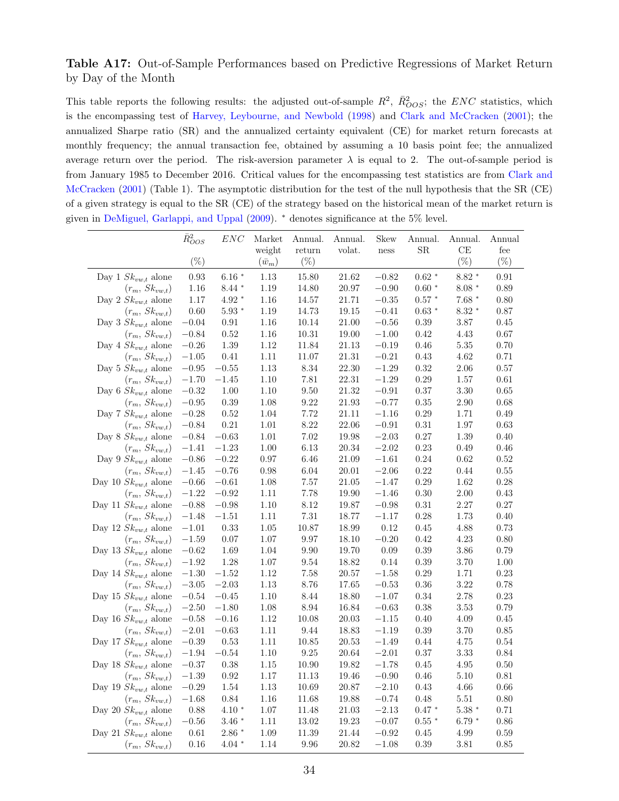#### <span id="page-33-0"></span>Table A17: Out-of-Sample Performances based on Predictive Regressions of Market Return by Day of the Month

This table reports the following results: the adjusted out-of-sample  $R^2$ ,  $\bar{R}^2_{OOS}$ ; the ENC statistics, which is the encompassing test of [Harvey, Leybourne, and Newbold](#page-16-14) [\(1998\)](#page-16-14) and [Clark and McCracken](#page-15-7) [\(2001\)](#page-15-7); the annualized Sharpe ratio (SR) and the annualized certainty equivalent (CE) for market return forecasts at monthly frequency; the annual transaction fee, obtained by assuming a 10 basis point fee; the annualized average return over the period. The risk-aversion parameter  $\lambda$  is equal to 2. The out-of-sample period is from January 1985 to December 2016. Critical values for the encompassing test statistics are from [Clark and](#page-15-7) [McCracken](#page-15-7) [\(2001\)](#page-15-7) (Table 1). The asymptotic distribution for the test of the null hypothesis that the SR (CE) of a given strategy is equal to the SR (CE) of the strategy based on the historical mean of the market return is given in [DeMiguel, Garlappi, and Uppal](#page-15-8) [\(2009\)](#page-15-8). <sup>∗</sup> denotes significance at the 5% level.

|                          | $\bar{R}^2_{OOS}$ | $_{ENC}$         | Market        | Annual.     | Annual. | Skew    | Annual. | Annual.          | Annual     |
|--------------------------|-------------------|------------------|---------------|-------------|---------|---------|---------|------------------|------------|
|                          |                   |                  | weight        | return      | volat.  | ness    | SR      | CE               | fee        |
|                          | $(\%)$            |                  | $(\bar{w}_m)$ | $(\%)$      |         |         |         | $(\%)$           | $(\%)$     |
| Day 1 $Sk_{vw,t}$ alone  | 0.93              | $6.16$ $^{\ast}$ | 1.13          | 15.80       | 21.62   | $-0.82$ | $0.62*$ | $8.82*$          | $\rm 0.91$ |
| $(r_m, Sk_{vw,t})$       | 1.16              | $8.44*$          | 1.19          | 14.80       | 20.97   | $-0.90$ | $0.60*$ | $8.08$ $^{\ast}$ | 0.89       |
| Day 2 $Sk_{vw,t}$ alone  | 1.17              | $4.92$ $^{\ast}$ | 1.16          | 14.57       | 21.71   | $-0.35$ | $0.57*$ | $7.68*$          | 0.80       |
| $(r_m, Sk_{vw,t})$       | 0.60              | $5.93*$          | 1.19          | 14.73       | 19.15   | $-0.41$ | $0.63*$ | $8.32$ $^{\ast}$ | 0.87       |
| Day 3 $Sk_{vw,t}$ alone  | $-0.04$           | 0.91             | 1.16          | 10.14       | 21.00   | $-0.56$ | 0.39    | 3.87             | 0.45       |
| $(r_m, Sk_{vw,t})$       | $-0.84$           | 0.52             | 1.16          | 10.31       | 19.00   | $-1.00$ | 0.42    | 4.43             | 0.67       |
| Day 4 $Sk_{vw,t}$ alone  | $-0.26$           | 1.39             | 1.12          | 11.84       | 21.13   | $-0.19$ | 0.46    | 5.35             | 0.70       |
| $(r_m, Sk_{vw,t})$       | $-1.05$           | 0.41             | 1.11          | 11.07       | 21.31   | $-0.21$ | 0.43    | 4.62             | 0.71       |
| Day 5 $Sk_{vw,t}$ alone  | $-0.95$           | $-0.55$          | 1.13          | 8.34        | 22.30   | $-1.29$ | 0.32    | 2.06             | 0.57       |
| $(r_m, Sk_{vw,t})$       | $-1.70$           | $-1.45$          | 1.10          | 7.81        | 22.31   | $-1.29$ | 0.29    | 1.57             | 0.61       |
| Day 6 $Sk_{vw,t}$ alone  | $-0.32$           | 1.00             | $1.10\,$      | $\ \, 9.50$ | 21.32   | $-0.91$ | 0.37    | $3.30\,$         | 0.65       |
| $(r_m, Sk_{vw,t})$       | $-0.95$           | 0.39             | 1.08          | 9.22        | 21.93   | $-0.77$ | 0.35    | 2.90             | 0.68       |
| Day 7 $Sk_{vw,t}$ alone  | $-0.28$           | 0.52             | 1.04          | 7.72        | 21.11   | $-1.16$ | 0.29    | 1.71             | 0.49       |
| $(r_m, Sk_{vw,t})$       | $-0.84$           | 0.21             | 1.01          | 8.22        | 22.06   | $-0.91$ | 0.31    | 1.97             | 0.63       |
| Day 8 $Sk_{vw,t}$ alone  | $-0.84$           | $-0.63$          | 1.01          | 7.02        | 19.98   | $-2.03$ | 0.27    | 1.39             | 0.40       |
| $(r_m, Sk_{vw,t})$       | $-1.41$           | $-1.23$          | 1.00          | 6.13        | 20.34   | $-2.02$ | 0.23    | 0.49             | 0.46       |
| Day 9 $Sk_{vw,t}$ alone  | $-0.86$           | $-0.22$          | 0.97          | 6.46        | 21.09   | $-1.61$ | 0.24    | 0.62             | 0.52       |
| $(r_m, Sk_{vw,t})$       | $-1.45$           | $-0.76$          | 0.98          | 6.04        | 20.01   | $-2.06$ | 0.22    | 0.44             | 0.55       |
| Day 10 $Sk_{vw,t}$ alone | $-0.66$           | $-0.61$          | 1.08          | 7.57        | 21.05   | $-1.47$ | 0.29    | 1.62             | 0.28       |
| $(r_m, Sk_{vw,t})$       | $-1.22$           | $-0.92$          | 1.11          | 7.78        | 19.90   | $-1.46$ | 0.30    | 2.00             | 0.43       |
| Day 11 $Sk_{vw,t}$ alone | $-0.88$           | $-0.98$          | 1.10          | 8.12        | 19.87   | $-0.98$ | 0.31    | 2.27             | 0.27       |
| $(r_m, Sk_{vw,t})$       | $-1.48$           | $-1.51$          | $1.11\,$      | 7.31        | 18.77   | $-1.17$ | 0.28    | 1.73             | 0.40       |
| Day 12 $Sk_{vw,t}$ alone | $-1.01$           | 0.33             | 1.05          | 10.87       | 18.99   | 0.12    | 0.45    | 4.88             | 0.73       |
| $(r_m, Sk_{vw,t})$       | $-1.59$           | 0.07             | 1.07          | 9.97        | 18.10   | $-0.20$ | 0.42    | 4.23             | 0.80       |
| Day 13 $Sk_{vw,t}$ alone | $-0.62$           | 1.69             | 1.04          | 9.90        | 19.70   | 0.09    | 0.39    | 3.86             | 0.79       |
| $(r_m, Sk_{vw,t})$       | $-1.92$           | 1.28             | 1.07          | 9.54        | 18.82   | 0.14    | 0.39    | 3.70             | 1.00       |
| Day 14 $Sk_{vw,t}$ alone | $-1.30$           | $-1.52$          | 1.12          | 7.58        | 20.57   | $-1.58$ | 0.29    | 1.71             | 0.23       |
| $(r_m, Sk_{vw,t})$       | $-3.05\,$         | $-2.03$          | 1.13          | 8.76        | 17.65   | $-0.53$ | 0.36    | 3.22             | 0.78       |
| Day 15 $Sk_{vw,t}$ alone | $-0.54$           | $-0.45$          | 1.10          | 8.44        | 18.80   | $-1.07$ | 0.34    | 2.78             | 0.23       |
| $(r_m, Sk_{vw,t})$       | $-2.50$           | $-1.80$          | 1.08          | 8.94        | 16.84   | $-0.63$ | 0.38    | 3.53             | 0.79       |
| Day 16 $Sk_{vw,t}$ alone | $-0.58$           | $-0.16$          | 1.12          | 10.08       | 20.03   | $-1.15$ | 0.40    | 4.09             | 0.45       |
| $(r_m, Sk_{vw,t})$       | $-2.01$           | $-0.63$          | 1.11          | 9.44        | 18.83   | $-1.19$ | 0.39    | 3.70             | 0.85       |
| Day 17 $Sk_{vw,t}$ alone | $-0.39$           | 0.53             | 1.11          | 10.85       | 20.53   | $-1.49$ | 0.44    | 4.75             | 0.54       |
| $(r_m, Sk_{vw,t})$       | $-1.94$           | $-0.54$          | 1.10          | 9.25        | 20.64   | $-2.01$ | 0.37    | 3.33             | 0.84       |
| Day 18 $Sk_{vw,t}$ alone | $-0.37$           | 0.38             | 1.15          | 10.90       | 19.82   | $-1.78$ | 0.45    | 4.95             | 0.50       |
| $(r_m, Sk_{vw,t})$       | $-1.39\,$         | 0.92             | 1.17          | 11.13       | 19.46   | $-0.90$ | 0.46    | 5.10             | 0.81       |
| Day 19 $Sk_{vw,t}$ alone | $-0.29$           | 1.54             | 1.13          | 10.69       | 20.87   | $-2.10$ | 0.43    | 4.66             | 0.66       |
| $(r_m, Sk_{vw,t})$       | $-1.68$           | 0.84             | 1.16          | 11.68       | 19.88   | $-0.74$ | 0.48    | 5.51             | 0.80       |
| Day 20 $Sk_{vw,t}$ alone | 0.88              | $4.10*$          | 1.07          | 11.48       | 21.03   | $-2.13$ | $0.47*$ | $5.38$ $^{\ast}$ | 0.71       |
| $(r_m, Sk_{vw,t})$       | $-0.56$           | $3.46*$          | 1.11          | 13.02       | 19.23   | $-0.07$ | $0.55*$ | $6.79*$          | 0.86       |
| Day 21 $Sk_{vw,t}$ alone | 0.61              | $2.86$ $^{\ast}$ | 1.09          | 11.39       | 21.44   | $-0.92$ | 0.45    | 4.99             | 0.59       |
| $(r_m, Sk_{vw,t})$       | 0.16              | $4.04$ $^{\ast}$ | 1.14          | 9.96        | 20.82   | $-1.08$ | 0.39    | 3.81             | 0.85       |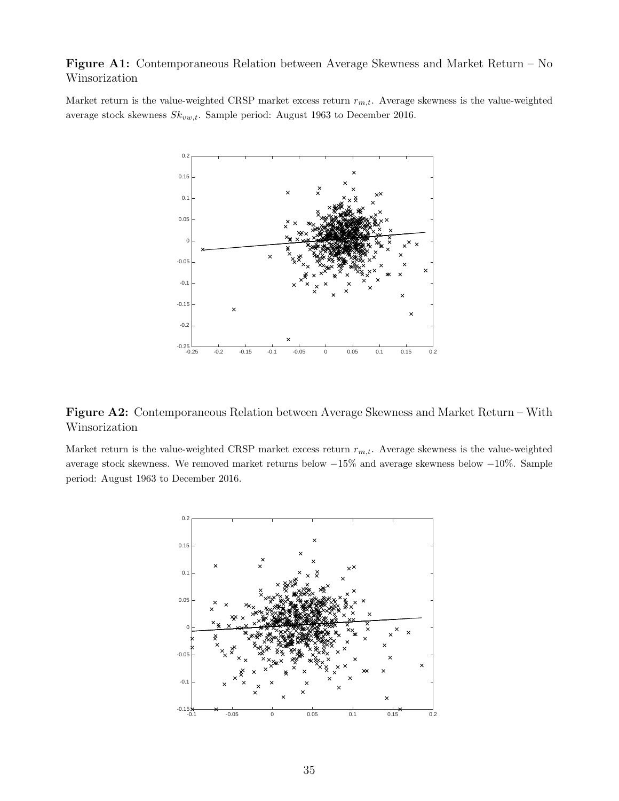<span id="page-34-0"></span>Figure A1: Contemporaneous Relation between Average Skewness and Market Return – No Winsorization

Market return is the value-weighted CRSP market excess return  $r_{m,t}$ . Average skewness is the value-weighted average stock skewness  $Sk_{vw,t}$ . Sample period: August 1963 to December 2016.



<span id="page-34-1"></span>Figure A2: Contemporaneous Relation between Average Skewness and Market Return – With Winsorization

Market return is the value-weighted CRSP market excess return  $r_{m,t}$ . Average skewness is the value-weighted average stock skewness. We removed market returns below −15% and average skewness below −10%. Sample period: August 1963 to December 2016.

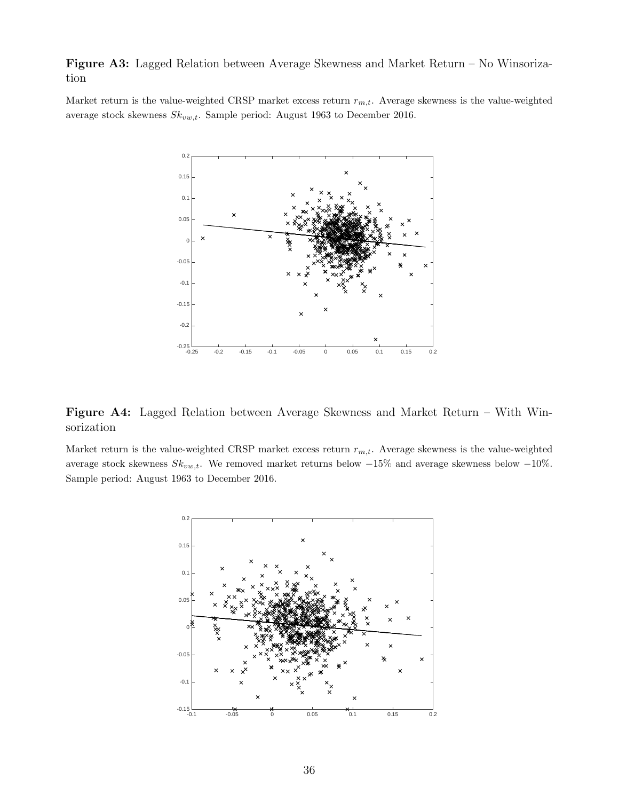<span id="page-35-0"></span>Figure A3: Lagged Relation between Average Skewness and Market Return – No Winsorization

Market return is the value-weighted CRSP market excess return  $r_{m,t}$ . Average skewness is the value-weighted average stock skewness  $Sk_{vw,t}$ . Sample period: August 1963 to December 2016.



<span id="page-35-1"></span>Figure A4: Lagged Relation between Average Skewness and Market Return – With Winsorization

Market return is the value-weighted CRSP market excess return  $r_{m,t}$ . Average skewness is the value-weighted average stock skewness  $Sk_{vw,t}$ . We removed market returns below  $-15\%$  and average skewness below  $-10\%$ . Sample period: August 1963 to December 2016.

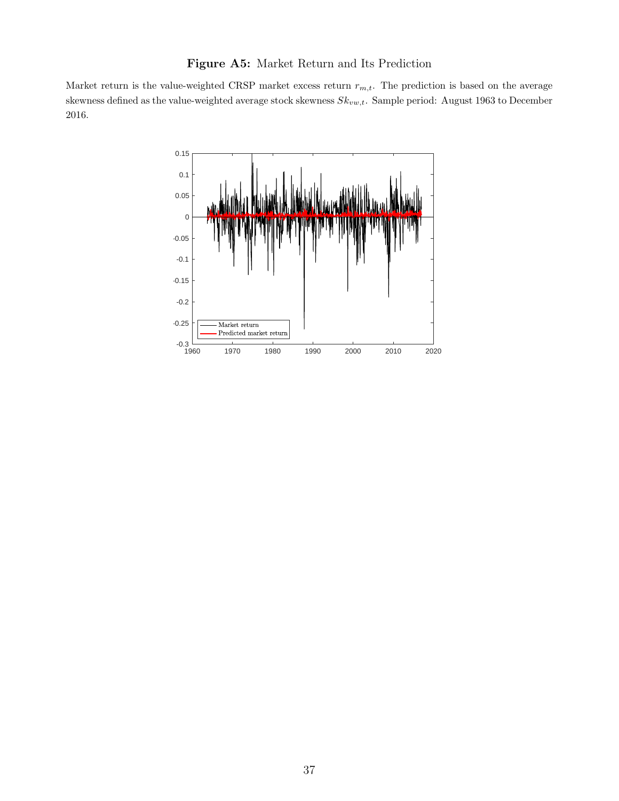## Figure A5: Market Return and Its Prediction

<span id="page-36-0"></span>Market return is the value-weighted CRSP market excess return  $r_{m,t}$ . The prediction is based on the average skewness defined as the value-weighted average stock skewness  $Sk_{vw,t}$ . Sample period: August 1963 to December 2016.